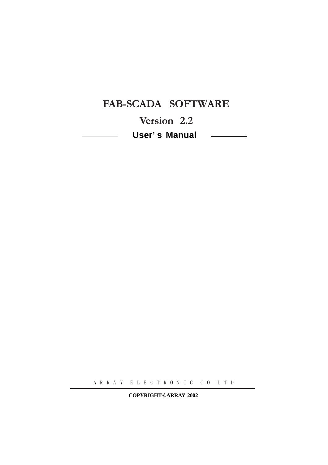# FAB-SCADA SOFTWARE

Version 2.2 **User' s Manual** 

A R R A Y E L E C T R O N I C C O L T D

**COPYRIGHT ©ARRAY 2002**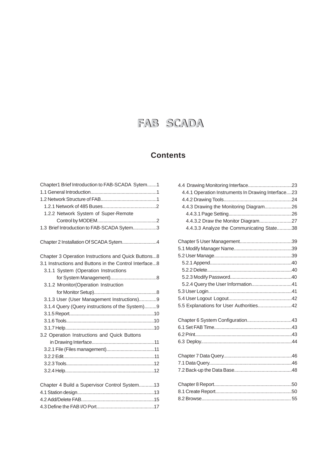# FAB SCADA

# **Contents**

| Chapter1 Brief Introduction to FAB-SCADA Sytem1        |  |
|--------------------------------------------------------|--|
|                                                        |  |
|                                                        |  |
|                                                        |  |
| 1.2.2 Network System of Super-Remote                   |  |
|                                                        |  |
| 1.3 Brief Introduction to FAB-SCADA Sytem3             |  |
| Chapter 2 Installation Of SCADA Sytem4                 |  |
| Chapter 3 Operation Instructions and Quick Buttons8    |  |
| 3.1 Instructions and Buttons in the Control Interface8 |  |
| 3.1.1 System (Operation Instructions                   |  |
|                                                        |  |
| 3.1.2 Mronitor(Operation Instruction                   |  |
|                                                        |  |
| 3.1.3 User (User Management Instructions)9             |  |
| 3.1.4 Query (Query instructions of the System)9        |  |
|                                                        |  |
|                                                        |  |
|                                                        |  |
| 3.2 Operation Instructions and Quick Buttons           |  |
|                                                        |  |
|                                                        |  |
|                                                        |  |
|                                                        |  |
|                                                        |  |
| Chapter 4 Build a Supervisor Control System13          |  |
|                                                        |  |
|                                                        |  |
|                                                        |  |
|                                                        |  |

| 4.4.1 Operation Instruments In Drawing Interface23 |  |
|----------------------------------------------------|--|
|                                                    |  |
| 4.4.3 Drawing the Monitoring Diagram26             |  |
|                                                    |  |
| 4.4.3.2 Draw the Monitor Diagram27                 |  |
| 4.4.3.3 Analyze the Communicating State38          |  |
|                                                    |  |
|                                                    |  |
|                                                    |  |
|                                                    |  |
|                                                    |  |
|                                                    |  |
| 5.2.4 Query the User Information41                 |  |
|                                                    |  |
|                                                    |  |
| 5.5 Explanations for User Authorities42            |  |
|                                                    |  |
|                                                    |  |
|                                                    |  |
|                                                    |  |
|                                                    |  |
|                                                    |  |
|                                                    |  |
|                                                    |  |
|                                                    |  |
|                                                    |  |
|                                                    |  |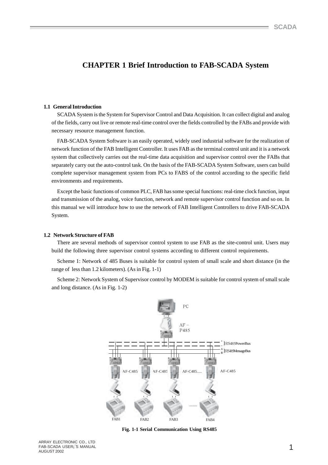# **CHAPTER 1 Brief Introduction to FAB-SCADA System**

#### **1.1 General Introduction**

SCADA System is the System for Supervisor Control and Data Acquisition. It can collect digital and analog of the fields, carry out live or remote real-time control over the fields controlled by the FABs and provide with necessary resource management function.

FAB-SCADA System Software is an easily operated, widely used industrial software for the realization of network function of the FAB Intelligent Controller. It uses FAB as the terminal control unit and it is a network system that collectively carries out the real-time data acquisition and supervisor control over the FABs that separately carry out the auto-control task. On the basis of the FAB-SCADA System Software, users can build complete supervisor management system from PCs to FABS of the control according to the specific field environments and requirements.

Except the basic functions of common PLC, FAB has some special functions: real-time clock function, input and transmission of the analog, voice function, network and remote supervisor control function and so on. In this manual we will introduce how to use the network of FAB Intelligent Controllers to drive FAB-SCADA System.

#### **1.2 Network Structure of FAB**

There are several methods of supervisor control system to use FAB as the site-control unit. Users may build the following three supervisor control systems according to different control requirements.

Scheme 1: Network of 485 Buses is suitable for control system of small scale and short distance (in the range of less than 1.2 kilometers). (As in Fig. 1-1)

Scheme 2: Network System of Supervisor control by MODEM is suitable for control system of small scale and long distance. (As in Fig. 1-2)



 **Fig. 1-1 Serial Communication Using RS485**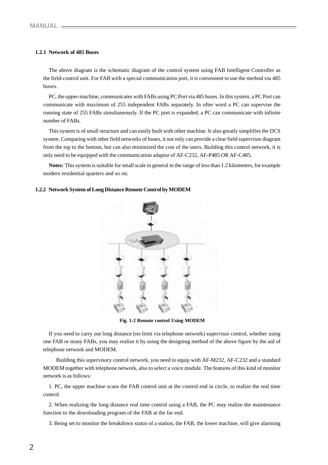### **1.2.1 Network of 485 Buses**

The above diagram is the schematic diagram of the control system using FAB Intelligent Controller as the field-control unit. For FAB wirh a special communication port, it is convenient to use the method via 485 buses.

PC, the upper-machine, communicates with FABs using PC Port via 485 buses. In this system, a PC Port can communicate with maximum of 255 independent FABs separately. In ofter word a PC can supervise the running state of 255 FABs simultaneously. If the PC port is expanded, a PC can communicate with infinite number of FABs.

This system is of small structure and can easily built with other machine. It also greatly simplifies the DCS system. Comparing with other field networks of buses, it not only can provide a clear field supervisor diagram from the top to the bottom, but can also minimized the cost of the users. Building this control network, it is only need to be equipped with the communication adaptor of AF-C232, AF-P485 OR AF-C485.

**Notes:** This system is suitable for small scale in general in the range of less than 1.2 kilometers, for example modern residential quarters and so on.

#### **1.2.2 Network System of Long Distance Remote Control by MODEM**



 **Fig. 1-2 Remote control Using MODEM**

If you need to carry out long distance (no limit via telephone network) supervisor control, whether using one FAB or many FABs, you may realize it by using the designing method of the above figure by the aid of telephone network and MODEM.

 Building this supervisory control network, you need to equip with AF-M232, AF-C232 and a standard MODEM together with telephone network, also to select a voice module. The features of this kind of monitor network is as follows:

1. PC, the upper machine scans the FAB control unit at the control end in circle, to realize the real time control.

2. When realizing the long distance real time control using a FAB, the PC may realize the maintenance function to the downloading program of the FAB at the far end.

3. Being set to monitor the breakdown status of a station, the FAB, the lower machine, will give alarming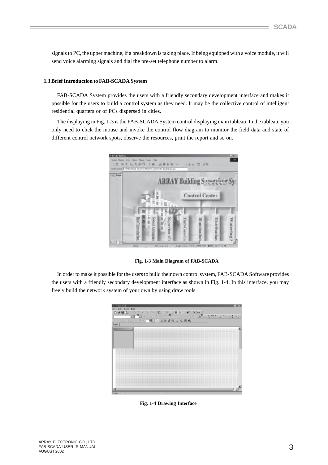signals to PC, the upper machine, if a breakdown is taking place. If being equipped with a voice module, it will send voice alarming signals and dial the pre-set telephone number to alarm.

#### **1.3 Brief Introduction to FAB-SCADA System**

FAB-SCADA System provides the users with a friendly secondary development interface and makes it possible for the users to build a control system as they need. It may be the collective control of intelligent residential quarters or of PCs dispersed in cities.

The displaying in Fig. 1-3 is the FAB-SCADA System control displaying main tableau. In the tableau, you only need to click the mouse and invoke the control flow diagram to monitor the field data and state of different control network spots, observe the resources, print the report and so on.



 **Fig. 1-3 Main Diagram of FAB-SCADA**

In order to make it possible for the users to build their own control system, FAB-SCADA Software provides the users with a friendly secondary development interface as shown in Fig. 1-4. In this interface, you may freely build the network system of your own by using draw tools.

| United                                                           | #1×    |
|------------------------------------------------------------------|--------|
| Bit Isak Bay<br>Eile                                             |        |
| @ 国风 X D (公 → → [ 功功数 1) ※ b   ■ B F   M<br>XCone<br>n           |        |
|                                                                  |        |
| $= -\frac{1}{2}$<br> 9月25年11月1日 1日 <br>w<br>$\overline{15}$<br>w |        |
| 下田 り 日本される たちめ<br>工口                                             |        |
|                                                                  |        |
|                                                                  |        |
| ш                                                                |        |
|                                                                  |        |
|                                                                  |        |
|                                                                  | $\sim$ |
|                                                                  |        |
|                                                                  |        |
|                                                                  | $\sim$ |
|                                                                  |        |
|                                                                  |        |
|                                                                  |        |
|                                                                  |        |
| $-111$                                                           | .      |
|                                                                  |        |
|                                                                  |        |
|                                                                  |        |
| $-111$                                                           | $-111$ |
|                                                                  |        |
| --                                                               |        |
|                                                                  |        |
|                                                                  |        |
|                                                                  |        |
|                                                                  |        |
|                                                                  |        |
|                                                                  |        |
| ٠                                                                |        |
| Fixulz                                                           |        |

**Fig. 1-4 Drawing Interface**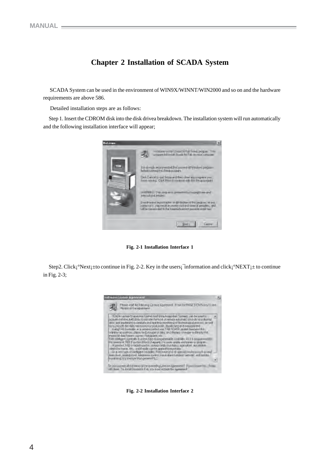# **Chapter 2 Installation of SCADA System**

 SCADA System can be used in the environment of WIN9X/WINNT/WIN2000 and so on and the hardware requirements are above 586.

Detailed installation steps are as follows:

Step 1. Insert the CDROM disk into the disk drivea breakdown. The installation system will run automatically and the following installation interface will appear;



**Fig. 2-1 Installation Interface 1**

Step2. Click; °Next; ± to continue in Fig. 2-2. Key in the users; information and click; °NEXT; ± to continue in Fig. 2-3;



**Fig. 2-2 Installation Interface 2**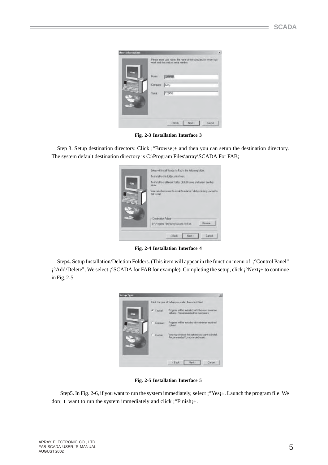|         | Please enter your name. the name of the company for whom you<br>work and the product ranal number. |
|---------|----------------------------------------------------------------------------------------------------|
| Name:   | Minister                                                                                           |
| Company | Ar15v                                                                                              |
| Sees    | 123456                                                                                             |
|         |                                                                                                    |

**Fig. 2-3 Installation Interface 3**

Step 3. Setup destination directory. Click  $\mathbf{i}^{\circ}$ Browse $\mathbf{i}^{\pm}$  and then you can setup the destination directory. The system default destination directory is C:\Program Files\array\SCADA For FAB;

|    | Setup will install Sceda for Fab in the following folder.<br>To initali to this folder; click Next. |
|----|-----------------------------------------------------------------------------------------------------|
| E  | To initialito a different folder, click Browne and relect another<br>tolder.                        |
| æ. | You can choose not to mital Scada to Fab by sticking Cancel to<br>eat Sekio<br><b>COLLEGE</b>       |
|    | Destination Folder<br>Вточти.<br>D.SProgram Files/Virray/Scede for Fab.                             |
|    | <b>Lanod</b><br>CBack<br>Nast 3                                                                     |

**Fig. 2-4 Installation Interface 4**

Step4. Setup Installation/Deletion Folders. (This item will appear in the function menu of ¡°Control Panel" ¡°Add/Delete". We select ¡°SCADA for FAB for example). Completing the setup, click ¡°Next¡± to continue in Fig. 2-5.

| Setup Type |          |                                                                                         | × |
|------------|----------|-----------------------------------------------------------------------------------------|---|
|            |          | Click the type of Setup you prefer. from click Next.                                    |   |
|            | F Troics | Program will be installed with the most common-<br>options. Recommended for next users. |   |
|            | Compact  | Program will be installed with minimum required<br>options).                            |   |
|            | Custom   | You may choose the optom: you want to mital.<br>Recommended for advanced users:         |   |
|            |          | Neut's<br>r Back<br>Cancel                                                              |   |

**Fig. 2-5 Installation Interface 5**

Step5. In Fig. 2-6, if you want to run the system immediately, select  $\hat{i}$  Yes $\hat{j}$ ±. Launch the program file. We don;<sup> $\tau$ </sup> want to run the system immediately and click  $\mathrm{i}^\circ$ Finish $\mathrm{i}$ ±.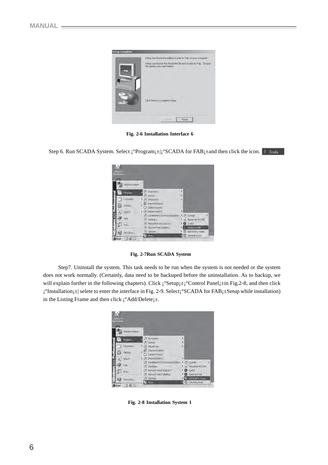

**Fig. 2-6 Installation Interface 6**

Step 6. Run SCADA System. Select  $\hat{i}$ °Program $\hat{i}$  =  $\hat{j}$ °SCADA for FAB $\hat{i}$  ±and then click the icon.

| <b>Partie</b>     |                                             |                      |
|-------------------|---------------------------------------------|----------------------|
|                   |                                             |                      |
| Werdmoul/points   |                                             |                      |
| <b>Rogians</b>    | Aczessures<br>Ξ                             |                      |
|                   | 曲<br><b>Sterrup</b>                         |                      |
| <b>Documents:</b> | <b>CT AVINADVA C</b>                        |                      |
| 勗                 | <b>IMenetEvices</b><br>Call Curtool Express |                      |
|                   | Ed Bellono Degri 5                          |                      |
|                   | ST LIKEWISHING S.S. Promessional EDITION    | <b>EVALUE</b><br>团   |
| юb                | <b>ET IMMEASS</b>                           | PINGUIGHTETSAE       |
| œ<br>Run.         | TWO WIT VEGAS Studio 6-D                    | Quality              |
|                   | <b>INGOSOFF WAS Fublishing</b><br>阓         | State For RAB        |
| Stat Down         | Chronos<br>岛                                | <b>UWSNAIR</b> Skota |

 **Fig. 2-7Run SCADA System**

 Step7. Uninstall the system. This task needs to be run when the system is not needed or the system does not work normally. (Certainly, data need to be backuped before the uninstallation. As to backup, we will explain further in the following chapters). Click  $\mathrm{i}^\circ$ Setup $\mathrm{i}^\circ\mathrm{i}^\circ$ Control Panel $\mathrm{i}^\circ\mathrm{in}$  Fig.2-8, and then click ¡°Installation¡±| selete to enter the interface in Fig. 2-9. Select¡°SCADA for FAB¡±Setup while installation) in the Listing Frame and then click  $\mathbf{i}^{\circ}$ Add/Delete $\mathbf{i}$ ±.

|                   | Widows Uposts   |                                                           |   |                    |  |
|-------------------|-----------------|-----------------------------------------------------------|---|--------------------|--|
| 夁                 | <b>Trograms</b> | <b>Actessaries</b>                                        |   |                    |  |
|                   |                 | Steriup                                                   |   |                    |  |
|                   | <b>FOUNDRYS</b> | <b>CT WILLOLD THE</b>                                     |   |                    |  |
| 鶋                 |                 | <b>Internet Explorer</b>                                  |   |                    |  |
| Search            |                 | <b>CJ</b> Cutlook Expanse.<br>First Booknabebis           | ٠ |                    |  |
|                   |                 | Et healshed 5.5 Philessippi Edition                       |   | <b>+ H Exerity</b> |  |
| Felp              |                 | <b>A InterBase</b>                                        |   | A Himsdal PLC FAB  |  |
| 烟<br><b>BUnit</b> |                 | THE REGISTER WAS TREASURED FOR<br>Hooseft lees Publishing |   | OuidiT.            |  |
|                   |                 | 启                                                         |   | Scade For FAB      |  |

**Fig. 2-8 Installation System 1**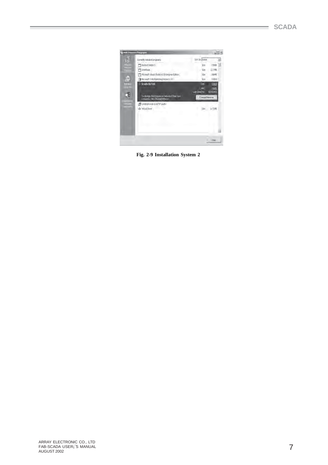|                     | Add/RumstvarPrograms                                                           |                          | $\frac{1}{2}$ $\frac{1}{2}$ |
|---------------------|--------------------------------------------------------------------------------|--------------------------|-----------------------------|
|                     | Durintly exhaled programs:                                                     | Set by None              | 型                           |
| No                  | 3 Holbid Deltin 5                                                              | S10                      | 1706B =                     |
| <b>UT</b>           | ViceBase                                                                       | 306                      | 空間                          |
|                     | Morealt visual Studio e 0 Enterprise Edition                                   | Ste                      | 18949                       |
| $\langle 0 \rangle$ | For Microsoft IVPb Buttstwig Waters L S3                                       | See.                     | 1939                        |
| ÷                   | <b>Scala for Eatr</b>                                                          | 38                       | 139.6                       |
|                     |                                                                                | Lised                    | <b>Lender</b>               |
|                     | To disease the program of throws it from your<br>consulter club Dongeritanonen | $-10n$<br>Chinak/Renoval | 312912312                   |
|                     | UNIVERSITY WAS CITED AND RELEASE.<br>ond book de                               |                          |                             |
|                     |                                                                                |                          |                             |
|                     |                                                                                |                          |                             |
|                     |                                                                                |                          |                             |

**Fig. 2-9 Installation System 2**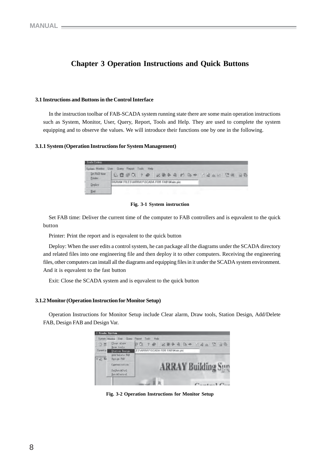# **Chapter 3 Operation Instructions and Quick Buttons**

#### **3.1 Instructions and Buttons in the Control Interface**

In the instruction toolbar of FAB-SCADA system running state there are some main operation instructions such as System, Monitor, User, Query, Report, Tools and Help. They are used to complete the system equipping and to observe the values. We will introduce their functions one by one in the following.

#### **3.1.1 System (Operation Instructions for System Management)**

| Scode System            |                                                         |  |
|-------------------------|---------------------------------------------------------|--|
|                         | System Monitor Liser Query Report Tools Help            |  |
| Set FAB time<br>Printer | & @ @ Q   ? @   Z # & &   B   & +   Z # &   Z #   B   B |  |
| Deploy                  | DGRAN FILES\ARRAY\SCADA FOR FAB\Main.pic:               |  |
| Exit                    |                                                         |  |



Set FAB time: Deliver the current time of the computer to FAB controllers and is equvalent to the quick button

Printer: Print the report and is equvalent to the quick button

Deploy: When the user edits a control system, he can package all the diagrams under the SCADA directory and related files into one engineering file and then deploy it to other computers. Receiving the engineering files, other computers can install all the diagrams and equipping files in it under the SCADA system environment. And it is equvalent to the fast button

Exit: Close the SCADA system and is equvalent to the quick button

#### **3.1.2 Monitor (Operation Instruction for Monitor Setup)**

Operation Instructions for Monitor Setup include Clear alarm, Draw tools, Station Design, Add/Delete FAB, Design FAB and Design Var.



**Fig. 3-2 Operation Instructions for Monitor Setup**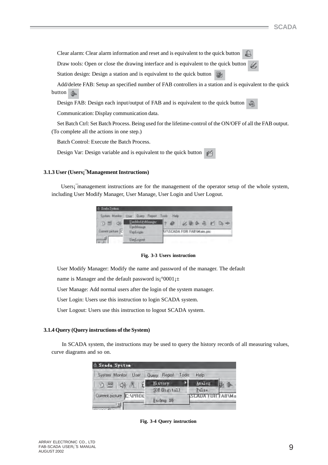Clear alarm: Clear alarm information and reset and is equivalent to the quick button ₿

Draw tools: Open or close the drawing interface and is equivalent to the quick button Ù,

Station design: Design a station and is equivalent to the quick button ight

Add/delete FAB: Setup an specified number of FAB controllers in a station and is equivalent to the quick button **form** 

Design FAB: Design each input/output of FAB and is equivalent to the quick button

Communication: Display communication data.

Set Batch Ctrl: Set Batch Process. Being used for the lifetime-control of the ON/OFF of all the FAB output. (To complete all the actions in one step.)

Batch Control: Execute the Batch Process.

Design Var: Design variable and is equivalent to the quick button 凾

#### **3.1.3 User (Users¡¯Management Instructions)**

 Users¡¯management instructions are for the management of the operator setup of the whole system, including User Modify Manager, User Manage, User Login and User Logout.

| <sup>5</sup> Scala System |                                                |                                  |
|---------------------------|------------------------------------------------|----------------------------------|
|                           | System Monitor: User: Query Report Tools: Help |                                  |
| 40<br>3 원                 | UserModifyMorrogec                             | 必要条理 的一个                         |
|                           | <b>UseMssage</b>                               |                                  |
| Current picture C         | Usef ogay                                      | <b>NY\SCADA FOR FAB\Main.pic</b> |
|                           | Used ogout                                     |                                  |

**Fig. 3-3 Users instruction**

User Modify Manager: Modify the name and password of the manager. The default

name is Manager and the default password is $\degree$ 0001<sub>1</sub> $\pm$ 

User Manage: Add normal users after the login of the system manager.

User Login: Users use this instruction to login SCADA system.

User Logout: Users use this instruction to logout SCADA system.

#### **3.1.4 Query (Query instructions of the System)**

 In SCADA system, the instructions may be used to query the history records of all measuring values, curve diagrams and so on.

| Scada System                  |              |               |       |                  |  |
|-------------------------------|--------------|---------------|-------|------------------|--|
| System Monitor<br>User        | <b>Query</b> | Report        | Tools | Help             |  |
| り号 (1)                        |              | History       |       | Analog           |  |
|                               |              | SOE (Digital) |       | Pulse            |  |
| Current picture C: VPROE<br>図 |              | Backup DB     |       | SCADA FUH FAB\Ma |  |

**Fig. 3-4 Query instruction**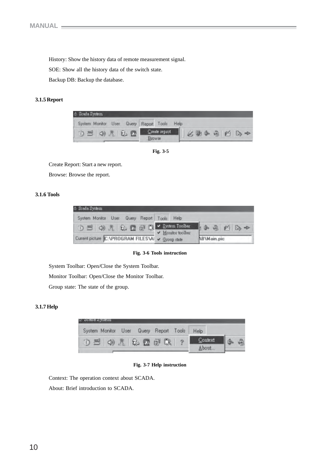History: Show the history data of remote measurement signal.

SOE: Show all the history data of the switch state.

Backup DB: Backup the database.

# **3.1.5 Report**



 **Fig. 3-5**

Create Report: Start a new report.

Browse: Browse the report.

# **3.1.6 Tools**

| & Scada System                                                                                                                                                         |                 |                                                       |
|------------------------------------------------------------------------------------------------------------------------------------------------------------------------|-----------------|-------------------------------------------------------|
| System Monitor User Query Report Tools Help                                                                                                                            |                 |                                                       |
| $0 \leq (1)$ $\leq$ $\frac{1}{2}$ $\frac{1}{2}$ $\frac{1}{2}$ $\leq$ $\frac{1}{2}$ $\leq$ $\frac{1}{2}$ $\leq$ $\frac{1}{2}$ $\leq$ $\frac{1}{2}$ $\leq$ $\frac{1}{2}$ | Monitor toolber | $\mathbf{A}$ $\oplus$ $\oplus$ $\oplus$ $\rightarrow$ |
| Current picture C:\PROGRAM FILES\Al v Group state                                                                                                                      |                 | <b>AB</b> \Main.pic                                   |

**Fig. 3-6 Tools instruction**

System Toolbar: Open/Close the System Toolbar. Monitor Toolbar: Open/Close the Monitor Toolbar. Group state: The state of the group.

#### **3.1.7 Help**



**Fig. 3-7 Help instruction**

Context: The operation context about SCADA.

About: Brief introduction to SCADA.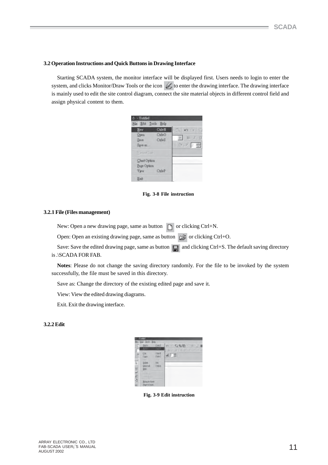#### **3.2 Operation Instructions and Quick Buttons in Drawing Interface**

Starting SCADA system, the monitor interface will be displayed first. Users needs to login to enter the system, and clicks Monitor/Draw Tools or the icon to enter the drawing interface. The drawing interface is mainly used to edit the site control diagram, connect the site material objects in different control field and assign physical content to them.

| & - Untitled<br>File Edit Tools Help                     |                              |                                                  |
|----------------------------------------------------------|------------------------------|--------------------------------------------------|
| New<br><b>Open</b><br>Save<br>Save as                    | $C$ trl+N<br>Ctrl+O<br>CutH3 | E<br>$83 - 14$<br><b>B</b><br>丑工<br>$1/2x - 2/2$ |
| Vintentian<br>Chart Option<br>Page Option<br><b>View</b> | Ctrl+P                       |                                                  |
| Exit                                                     |                              |                                                  |

**Fig. 3-8 File instruction**

#### **3.2.1 File (Files management)**

New: Open a new drawing page, same as button  $\Box$  or clicking Ctrl+N.

Open: Open an existing drawing page, same as button  $\approx$  or clicking Ctrl+O.

Save: Save the edited drawing page, same as button  $\Box$  and clicking Ctrl+S. The default saving directory is .\SCADA FOR FAB.

**Notes**: Please do not change the saving directory randomly. For the file to be invoked by the system successfully, the file must be saved in this directory.

Save as: Change the directory of the existing edited page and save it.

View: View the edited drawing diagrams.

Exit. Exit the drawing interface.

### **3.2.2 Edit**

|         | <b>SECTION</b> | иI              |   |
|---------|----------------|-----------------|---|
|         |                |                 | ÷ |
|         |                | tu<br>99.9<br>٠ |   |
|         |                |                 |   |
| 1000000 |                |                 |   |

 **Fig. 3-9 Edit instruction**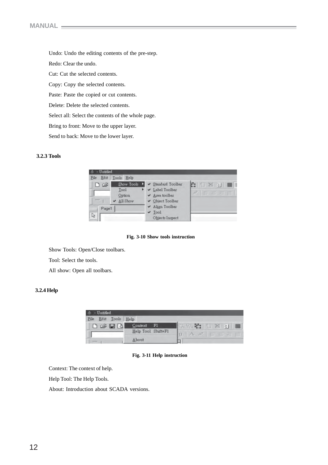Undo: Undo the editing contents of the pre-step. Redo: Clear the undo. Cut: Cut the selected contents. Copy: Copy the selected contents. Paste: Paste the copied or cut contents. Delete: Delete the selected contents. Select all: Select the contents of the whole page. Bring to front: Move to the upper layer. Send to back: Move to the lower layer.

#### **3.2.3 Tools**



 **Fig. 3-10 Show tools instruction**

Show Tools: Open/Close toolbars.

Tool: Select the tools.

All show: Open all toolbars.

# **3.2.4 Help**

| <b>Untified</b>       |                                    |                                               |
|-----------------------|------------------------------------|-----------------------------------------------|
| File<br>Tools<br>Edit | Help                               |                                               |
| 口运用图                  | Context<br>ы<br>Help Tool Shift+F1 | ##<br>出看 日图<br>$\approx$<br>雪                 |
|                       | About                              | U.<br>A B<br>E<br>$\overline{z}$ .<br>_<br>-- |

**Fig. 3-11 Help instruction**

Context: The context of help.

Help Tool: The Help Tools.

About: Introduction about SCADA versions.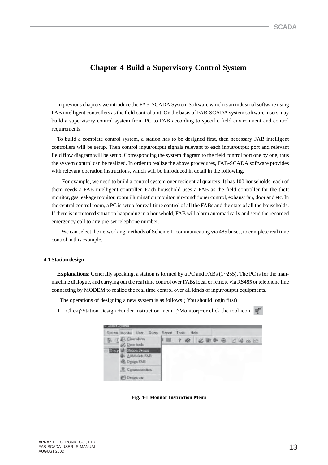# **Chapter 4 Build a Supervisory Control System**

In previous chapters we introduce the FAB-SCADA System Software which is an industrial software using FAB intelligent controllers as the field control unit. On the basis of FAB-SCADA system software, users may build a supervisory control system from PC to FAB according to specific field environment and control requirements.

To build a complete control system, a station has to be designed first, then necessary FAB intelligent controllers will be setup. Then control input/output signals relevant to each input/output port and relevant field flow diagram will be setup. Corresponding the system diagram to the field control port one by one, thus the system control can be realized. In order to realize the above procedures, FAB-SCADA software provides with relevant operation instructions, which will be introduced in detail in the following.

 For example, we need to build a control system over residential quarters. It has 100 households, each of them needs a FAB intelligent controller. Each household uses a FAB as the field controller for the theft monitor, gas leakage monitor, room illumination monitor, air-conditioner control, exhaust fan, door and etc. In the central control room, a PC is setup for real-time control of all the FABs and the state of all the households. If there is monitored situation happening in a household, FAB will alarm automatically and send the recorded emergency call to any pre-set telephone number.

 We can select the networking methods of Scheme 1, communicating via 485 buses, to complete real time control in this example.

#### **4.1 Station design**

**Explanations**: Generally speaking, a station is formed by a PC and FABs (1~255). The PC is for the manmachine dialogue, and carrying out the real time control over FABs local or remote via RS485 or telephone line connecting by MODEM to realize the real time control over all kinds of input/output equipments.

The operations of designing a new system is as follows:( You should login first)

1. Click¡°Station Design¡±under instruction menu ¡°Monitor¡±or click the tool icon



 **Fig. 4-1 Monitor Instruction Menu**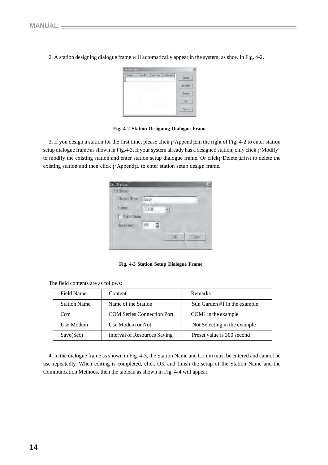| Station<br><b>STEP</b> | ComWo | SaveTme UnaModern | Create |
|------------------------|-------|-------------------|--------|
|                        |       |                   | Monty  |
|                        |       |                   | Delete |
|                        |       |                   |        |
|                        |       |                   | ŮF     |

2. A station designing dialogue frame will automatically appear in the system, as show in Fig. 4-2.

#### **Fig. 4-2 Station Designing Dialogue Frame**

3. If you design a station for the first time, please click ¡°Append¡±in the right of Fig. 4-2 to enter station setup dialogue frame as shown in Fig.4-3. If your system already has a designed station, only click  $\mathrm{i}^\circ \text{Modify}$ " to modify the existing station and enter station setup dialogue frame. Or click<sub>i</sub>°Delete<sub>i</sub>±first to delete the existing station and then click  $\mathrm{i}^\circ$ Append $\mathrm{i}^\pm$  to enter station setup design frame.

| Statuer Name | Arrett  |  |
|--------------|---------|--|
| Comm         | CCAIL   |  |
| E UirMoim    |         |  |
| SWE(SN)      | $300 -$ |  |

 **Fig. 4-3 Station Setup Dialogue Frame**

| Field Name          | Content                             | Remarks                      |
|---------------------|-------------------------------------|------------------------------|
| <b>Station Name</b> | Name of the Station                 | Sun Garden #1 in the example |
| Com                 | <b>COM Series Connection Port</b>   | COM1 in the example          |
| Use Modem           | Use Modem or Not                    | Not Selecting in the example |
| Save(Sec)           | <b>Interval of Resources Saving</b> | Preset value is 300 second   |

4. In the dialogue frame as shown in Fig. 4-3, the Station Name and Comm must be entered and cannot be use repeatedly. When editing is completed, click OK and finish the setup of the Station Name and the Communcation Methods, then the tableau as shown in Fig. 4-4 will appear.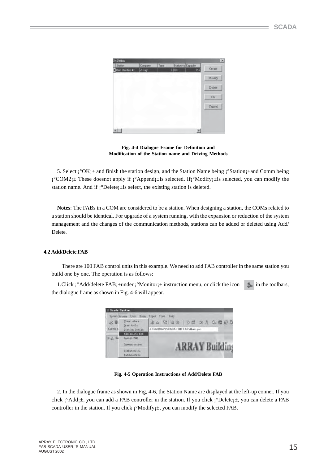

**Fig. 4-4 Dialogue Frame for Definition and Modification of the Station name and Driving Methods**

5. Select  $\hat{i}^\circ$ OK $\hat{i}$ ± and finish the station design, and the Station Name being  $\hat{i}^\circ$ Station $\hat{i}$ ±and Comm being  $i^{\circ}COM2$  These doesnot apply if  $i^{\circ}Appendi$  is selected. If  $i^{\circ}Modify$  its selected, you can modify the station name. And if  $\mathrm{i}^{\circ}$ Delete $\mathrm{i}^{\pm}$ is select, the existing station is deleted.

**Notes**: The FABs in a COM are considered to be a station. When designing a station, the COMs related to a station should be identical. For upgrade of a system running, with the expansion or reduction of the system management and the changes of the communication methods, stations can be added or deleted using Add/ Delete.

# **4.2 Add/Delete FAB**

 There are 100 FAB control units in this example. We need to add FAB controller in the same station you build one by one. The operation is as follows:

1. Click  $\int^{\circ}$ Add/delete FAB $\downarrow$ ±under  $\int^{\circ}$ Monitor $\downarrow$ ± instruction menu, or click the icon in the toolbars, the dialogue frame as shown in Fig. 4-6 will appear.



**Fig. 4-5 Operation Instructions of Add/Delete FAB**

2. In the dialogue frame as shown in Fig, 4-6, the Station Name are displayed at the left-up conner. If you click  $\mathbf{i}^{\circ}$ Add $\mathbf{j} \pm$ , you can add a FAB controller in the station. If you click  $\mathbf{i}^{\circ}$ Delete $\mathbf{j} \pm$ , you can delete a FAB controller in the station. If you click  $\mathbf{i}^{\circ}$ Modify $\mathbf{i}$   $\pm$ , you can modify the selected FAB.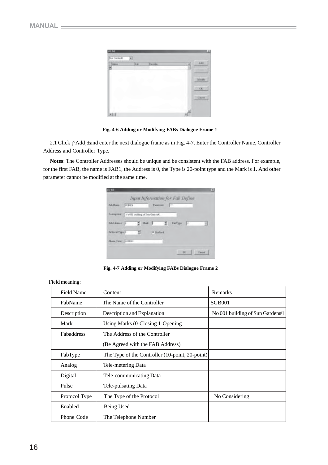| $\bullet$     |        |               |             | m   |
|---------------|--------|---------------|-------------|-----|
| Northeline R  |        |               |             |     |
| $\frac{1}{2}$ | ı<br>× | <b>ALLIER</b> |             |     |
| v             |        |               | i<br>×<br>- |     |
|               |        |               |             |     |
|               |        |               |             |     |
|               |        |               |             | PG. |
|               |        |               |             |     |
|               |        |               |             |     |

**Fig. 4-6 Adding or Modifying FABs Dialogue Frame 1**

2.1 Click i°Add<sub>1</sub>±and enter the next dialogue frame as in Fig. 4-7. Enter the Controller Name, Controller Address and Controller Type.

 **Notes**: The Controller Addresses should be unique and be consistent with the FAB address. For example, for the first FAB, the name is FAB1, the Address is 0, the Type is 20-point type and the Mark is 1. And other parameter cannot be modified at the same time.

| <b>MAY PAR</b>                                |               |                                  |             |             |   | $^{18}$        |
|-----------------------------------------------|---------------|----------------------------------|-------------|-------------|---|----------------|
|                                               |               | Input Information for Fab Define |             |             |   |                |
| FalcHane                                      | <b>DORMOR</b> |                                  |             | Passinsk -- |   |                |
| Description: He Old building of Fox Ourleaft. |               |                                  |             |             |   |                |
| reasses to the age of the second              |               |                                  |             |             | G | H              |
| <b>Findscall Type: 11</b>                     |               | $-2$                             | -57 Horbind |             |   |                |
| Fluise Cade: 1203461                          |               |                                  |             |             |   |                |
|                                               |               |                                  |             |             |   | <b>Cartrel</b> |

**Fig. 4-7 Adding or Modifying FABs Dialogue Frame 2**

| <b>Field Name</b> | Content                                                         | Remarks                         |
|-------------------|-----------------------------------------------------------------|---------------------------------|
| FabName           | The Name of the Controller                                      | SGB <sub>001</sub>              |
| Description       | Description and Explanation                                     | No 001 building of Sun Garden#1 |
| Mark              | Using Marks (0-Closing 1-Opening                                |                                 |
| <b>Fabaddress</b> | The Address of the Controller                                   |                                 |
|                   | (Be Agreed with the FAB Address)                                |                                 |
| FabType           | The Type of the Controller $(10\text{-point}, 20\text{-point})$ |                                 |
| Analog            | Tele-metering Data                                              |                                 |
| Digital           | Tele-communicating Data                                         |                                 |
| Pulse             | Tele-pulsating Data                                             |                                 |
| Protocol Type     | The Type of the Protocol                                        | No Considering                  |
| Enabled           | Being Used                                                      |                                 |
| Phone Code        | The Telephone Number                                            |                                 |

#### Field meaning: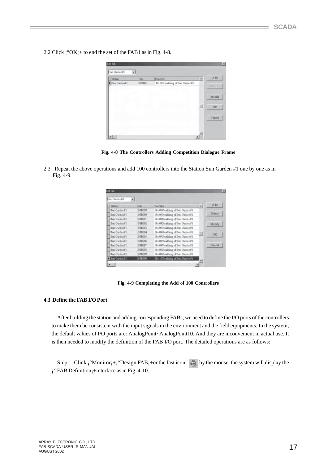2.2 Click  $\mathrm{i}^{\circ}$ OK $\mathrm{i}$ ± to end the set of the FAB1 as in Fig. 4-8.

| Station      | Fab    | Destribe                                           | $\left  \cdot \right $ | Add      |
|--------------|--------|----------------------------------------------------|------------------------|----------|
| Sun Garden#1 | 30B001 | No 001 building of Sun Oarden#1<br><b>SHOW THE</b> |                        | (Defets) |
|              |        |                                                    |                        | Modify   |
|              |        |                                                    | н                      | OK.      |
|              |        |                                                    |                        | Canrel   |

**Fig. 4-8 The Controllers Adding Competition Dialogue Frame**

2.3 Repeat the above operations and add 100 controllers into the Station Sun Garden #1 one by one as in Fig. 4-9.

| Station             | Fab.    | Describe                        | ÷. | Ad     |
|---------------------|---------|---------------------------------|----|--------|
| Sun Garden#1        | SOBOUP  | No 039building of Sun Garden#1  |    |        |
| <b>Sun Garden#1</b> | 30B090  | No 090building of Sun Garden#1  |    | Delate |
| Sun Gerden#1        | 338091  | No 091 building of Sun OardenWI |    |        |
| Sun Gerden#1        | 30B092  | No 092building of Sun Garden#1  |    | Monkfy |
| Sun Ourden#1        | 80B093  | No.093building of Sun Ourden#1  |    |        |
| Sun Gerden#1        | 308094  | No 094building of Sun GardenN1  |    | CK.    |
| Tun Gurden#1        | BGB095  | No 095building of Sun GudenAl   |    |        |
| Sun Ourden#1        | 30B096  | No 096building of Sun Oarden#1  |    |        |
| Sun Gerden#1        | SGB097  | No 097building of Sun Garden#1  |    | Cancal |
| Bun Garden#1        | 30BE00E | No 093 building of Sun Garden#1 |    |        |
| Sun Garden#1        | 908099  | No.099building of Sun Oarden#1  |    |        |
| <b>Sun Garden#1</b> | SGB100  | No 100budding of Sun Garden VI  |    |        |

**Fig. 4-9 Completing the Add of 100 Controllers**

# **4.3 Define the FAB I/O Port**

After building the station and adding corresponding FABs, we need to define the I/O ports of the controllers to make them be consistent with the input signals in the environment and the field equipments. In the system, the default values of I/O ports are: AnalogPoint~AnalogPoint10. And they are inconvenient in actual use. It is then needed to modify the definition of the FAB I/O port. The detailed operations are as follows:

Step 1. Click  $\mathsf{i}^\circ\mathsf{Monitor}\mathsf{j} \pm \mathsf{i}^\circ\mathsf{Design FAB}\mathsf{j}$  tor the fast icon by the mouse, the system will display the ¡ ° FAB Definition¡±interface as in Fig. 4-10.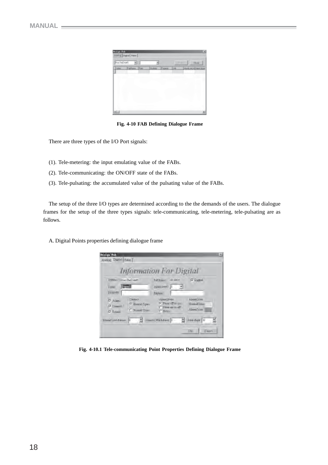| <b>Postal Feb</b>   | need Daniel from |   |        |                |       | $\overline{a}$                  |
|---------------------|------------------|---|--------|----------------|-------|---------------------------------|
| <b>But DeDron't</b> | w                |   |        |                |       | <b>Cluster</b><br><b>TIME</b>   |
| total               | atlas            | m | 19.0mm | <b>TERRITE</b> | 1 krá | <b>Insertion(In) New Column</b> |
| $11 - 1$            |                  |   |        |                |       | ۰                               |

**Fig. 4-10 FAB Defining Dialogue Frame**

There are three types of the I/O Port signals:

- (1). Tele-metering: the input emulating value of the FABs.
- (2). Tele-communicating: the ON/OFF state of the FABs.
- (3). Tele-pulsating: the accumulated value of the pulsating value of the FABs.

The setup of the three I/O types are determined according to the the demands of the users. The dialogue frames for the setup of the three types signals: tele-communicating, tele-metering, tele-pulsating are as follows.

A. Digital Points properties defining dialogue frame

|                                                                   |                                                              | <b>Information For Digital</b>                                                   |                                         |
|-------------------------------------------------------------------|--------------------------------------------------------------|----------------------------------------------------------------------------------|-----------------------------------------|
| Striko Sun GarDen#1<br>Герция<br><b>E</b> ottal<br><b>Fingers</b> |                                                              | SCE001<br>Fall Naver<br>$\frac{1}{2}$ = 1 (Non-Lemb)<br>Erolem!                  | <b>F</b> Datasi                         |
| <b>D</b> Alamo<br><b>Z</b> Control<br><b>IZ</b> Smoot             | <b>Gontact</b><br><sup>O</sup> Howaid Down<br>C Hussel Clase | <b>Numi2rum</b><br>1+ From off to one<br><b>Clima</b> an in off<br>$\Gamma$ Both | Alarm/Juter<br>HumaKalar<br>Alarm/Jutin |
| Shund Drividdaw 10                                                |                                                              | SmitOfs tose 1                                                                   | 3 pet diega [17                         |

**Fig. 4-10.1 Tele-communicating Point Properties Defining Dialogue Frame**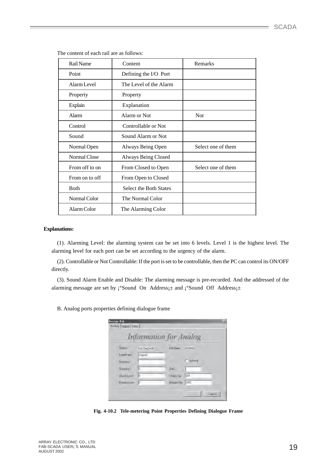| Rail Name      | Content                       | Remarks            |
|----------------|-------------------------------|--------------------|
| Point          | Defining the I/O Port         |                    |
| Alarm Level    | The Level of the Alarm        |                    |
| Property       | Property                      |                    |
| Explain        | Explanation                   |                    |
| <b>Alarm</b>   | Alarm or Not                  | <b>Not</b>         |
| Control        | Controllable or Not           |                    |
| Sound          | Sound Alarm or Not            |                    |
| Normal Open    | Always Being Open             | Select one of them |
| Normal Close   | <b>Always Being Closed</b>    |                    |
| From off to on | From Closed to Open           | Select one of them |
| From on to off | From Open to Closed           |                    |
| <b>B</b> oth   | <b>Select the Both States</b> |                    |
| Normal Color   | The Normal Color              |                    |
| Alarm Color    | The Alarming Color            |                    |

The content of each rail are as follows:

#### **Explanations:**

(1). Alarming Level: the alarming system can be set into 6 levels. Level 1 is the highest level. The alarming level for each port can be set according to the urgency of the alarm.

(2). Controllable or Not Controllable: If the port is set to be controllable, then the PC can control its ON/OFF directly.

(3). Sound Alarm Enable and Disable: The alarming message is pre-recorded. And the addressed of the alarming message are set by  $\int$ °Sound On Address $\pm$  and  $\int$ °Sound Off Address $\pm$ 

B. Analog ports properties defining dialogue frame

|                 | <b>Information for Analog</b> |                 |               |
|-----------------|-------------------------------|-----------------|---------------|
| Station.        | <b>SwitteDHOT</b>             | Fabbleme.       | $-309001$     |
| FordN are       | Digitall                      |                 |               |
| <b>Fraparty</b> |                               |                 | <b>INDUCE</b> |
| Quatrie-        | þ.                            | (Irai)          |               |
| Christ Lower    |                               | Chack (Jpr.)    | 200           |
| Kamillere       | $0 -$                         | Hitsubtly- 1000 |               |

**Fig. 4-10.2 Tele-metering Point Properties Defining Dialogue Frame**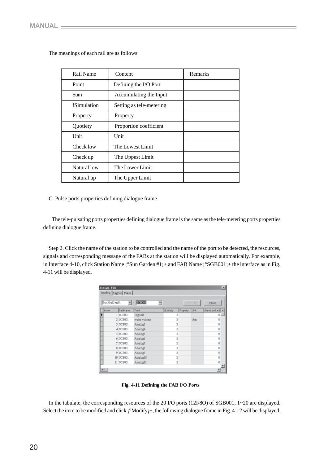| Rail Name   | Content                  | Remarks |
|-------------|--------------------------|---------|
| Point       | Defining the I/O Port    |         |
| Sum         | Accumulating the Input   |         |
| fSimulation | Setting as tele-metering |         |
| Property    | Property                 |         |
| Quotiety    | Proportion coefficient   |         |
| Unit        | Unit                     |         |
| Check low   | The Lowest Limit         |         |
| Check up    | The Uppest Limit         |         |
| Natural low | The Lower Limit          |         |
| Natural up  | The Upper Limit          |         |

The meanings of each rail are as follows:

C. Pulse ports properties defining dialogue frame

 The tele-pulsating ports properties defining dialogue frame is the same as the tele-metering ports properties defining dialogue frame.

Step 2. Click the name of the station to be controlled and the name of the port to be detected, the resources, signals and corresponding message of the FABs at the station will be displayed automatically. For example, in Interface 4-10, click Station Name ¡°Sun Garden #1¡± and FAB Name ¡°SGB001¡± the interface as in Fig. 4-11 will be displayed.

| Sun GaDen#L |                 | 338001          |                | Modify   |        | Close         |
|-------------|-----------------|-----------------|----------------|----------|--------|---------------|
| Index       | FabName         | Point           | Qualiety       | Property | Unit   | AlemLowLind A |
|             | 1 SCB001        | <b>Digitall</b> | 2              |          |        | O             |
|             | 2 SCB001        | water volume    | 2              |          | olara. | Ū             |
|             | 3 SCB001        | <b>BolonA</b>   | 2              |          |        | Ū             |
|             | 4 SCB001        | Analog4         | 2              |          |        | Ū             |
|             | 5 SCB001        | Analog3         | <sub>2</sub>   |          |        | Ū             |
|             | 6 SCB001        | hologi          | $\overline{1}$ |          |        | ŋ             |
|             | T SCB001        | Analog7         | $\overline{a}$ |          |        | Ū             |
|             | <b>S SCB001</b> | SpolenA         | 2              |          |        | Ū             |
|             | 9 SCB001        | <b>BollenA</b>  | 2              |          |        | Ū             |
|             | 10 SCB001       | <b>BigolenA</b> | 2              |          |        | Ū             |
|             | 11 SCB001       | Analogii        | 2              |          |        | $\theta$      |

 **Fig. 4-11 Defining the FAB I/O Ports**

In the tabulate, the corresponding resources of the 20 I/O ports (12I/8O) of SGB001, 1~20 are displayed. Select the item to be modified and click  $\mathbf{i}^{\circ}$ Modify $\mathbf{j} \pm$ , the following dialogue frame in Fig. 4-12 will be displayed.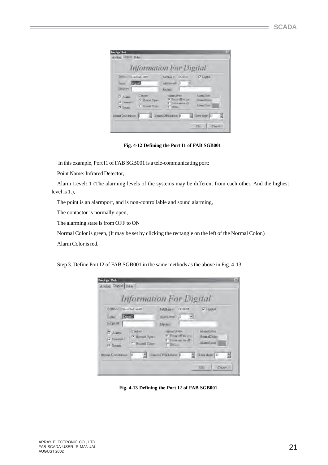|                                                                          |                                                              | <b>Information For Digital</b>                                           |                                               |  |
|--------------------------------------------------------------------------|--------------------------------------------------------------|--------------------------------------------------------------------------|-----------------------------------------------|--|
| Strikon Sun GarDenit<br><b>Expirit</b><br><b>Rotal</b><br><b>Finance</b> |                                                              | SCE001<br>Fall Nover<br>Akmirvel 1 -<br>Erolen!                          | <b>F</b> Datask                               |  |
| <b>V</b> Alamo<br><b>Z</b> Control<br><b>D</b> Spood                     | <b>Gontact</b><br><sup>17</sup> Homel Open<br>C Huusil Cluse | Villand Strute<br>1+ From off to on-<br>Time ap in off<br><b>C Botto</b> | <b>Alarm/Juter</b><br>HimaXilian<br>Alam/John |  |
| Shund OnA driver: 10                                                     |                                                              | $\frac{m}{m}$ Sound Official density $\left  0 \right $ = $\frac{m}{m}$  | Spes days [37                                 |  |

 **Fig. 4-12 Defining the Port I1 of FAB SGB001**

In this example, Port I1 of FAB SGB001 is a tele-communicating port:

Point Name: Infrared Detector,

Alarm Level: 1 (The alarming levels of the systems may be different from each other. And the highest level is 1.),

The point is an alarmport, and is non-controllable and sound alarming,

The contactor is normally open,

The alarming state is from OFF to ON

Normal Color is green, (It may be set by clicking the rectangle on the left of the Normal Color.)

Alarm Color is red.

Step 3. Define Port I2 of FAB SGB001 in the same methods as the above in Fig. 4-13.

|                                                      |                                                             | <b>Information For Digital</b>                                                    |                                      |
|------------------------------------------------------|-------------------------------------------------------------|-----------------------------------------------------------------------------------|--------------------------------------|
| 3fittion<br>Degman<br><b>EGHAL</b><br><b>Fronten</b> | Stat Chall entit                                            | SCE001<br>FeltNew+1<br>$\frac{1}{1}$ <b>b</b> dentities<br>Enden!                 | <b>F</b> Dattal                      |
| <b>V</b> Alamo<br><b>7 Control</b><br><b>D</b> Smoot | <b>Gentact</b><br><sup>6</sup> Homel Open<br>C Humail Clase | <b>Hiltmark</b><br>1+ From off to an<br><b>C</b> From ap to off<br><b>C Botto</b> | Alam/Jann<br>HumaDidan<br>Alam/Juler |
| Shund Only driver 10                                 |                                                             | <b>2</b> SmitOficklass D                                                          | 3 pet diega [17                      |

**Fig. 4-13 Defining the Port I2 of FAB SGB001**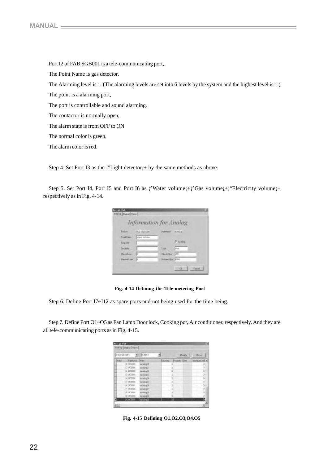Port I2 of FAB SGB001 is a tele-communicating port, The Point Name is gas detector, The Alarming level is 1. (The alarming levels are set into 6 levels by the system and the highest level is 1.) The point is a alarming port, The port is controllable and sound alarming. The contactor is normally open, The alarm state is from OFF to ON The normal color is green, The alarm color is red.

Step 4. Set Port I3 as the  $i^{\circ}$ Light detector $j \pm$  by the same methods as above.

Step 5. Set Port I4, Port I5 and Port I6 as  $\int_0^\infty \text{Water volume} \left| \pm \right|^\infty \text{Gas volume} \left| \pm \right|^\infty$ Electricity volume $\left| \pm \right|$ respectively as in Fig. 4-14.

|                     | <b>Information for Analog</b> |                       |             |
|---------------------|-------------------------------|-----------------------|-------------|
| <b>Rights</b>       | Thus DisEvent1                | Publishers (1970) (1) |             |
| Fond Land           | injurishme.                   |                       |             |
| <b>Tripets</b>      |                               |                       | F Arab      |
| <b>Drobini</b>      |                               | Those                 | chair       |
| <b>Clevic Lower</b> |                               | <b>Classic Day</b>    | <b>CENT</b> |
| Headless N          |                               | Hamdling 2 III        |             |

**Fig. 4-14 Defining the Tele-metering Port**

Step 6. Define Port I7~I12 as spare ports and not being used for the time being.

Step 7. Define Port O1~O5 as Fan Lamp Door lock, Cooking pot, Air conditioner, respectively. And they are all tele-communicating ports as in Fig. 4-15.

| <b>But Did von't</b> |                  | BOBOOT.             | $M = M_T$                           | <b>Cluster</b>  |
|----------------------|------------------|---------------------|-------------------------------------|-----------------|
| <b>I</b> tring       | Pablas           | mas                 | <b>Burney</b><br><b>Value 12 Hd</b> | Mark (as incl x |
|                      | II SCGIII        | <b>Arielisti</b>    | 3                                   | $-0$            |
|                      | 13 072888        | Analog <sub>D</sub> | а<br>٠                              | - 01            |
|                      | 12,202,033       | Aroling II          | 1                                   | b               |
|                      | D 201808         | Ankingtil           |                                     | o,              |
|                      | 14 OCTOBE        | Aralyg14            |                                     | $\theta$        |
|                      | 17 31203         | Arialize 11         | 3                                   | п               |
|                      | <b>M SCGRIS</b>  | Analig3E            | 73<br>÷                             | $-00$<br>$\sim$ |
|                      | <b>D.97288</b>   | <b>Tankel</b>       | a                                   | o               |
|                      | <b>IT ICHIEL</b> | Analing II          | $\Box$                              | Ð               |
|                      | 54 SCURRE        | <b>Niveling M</b>   | 1                                   | o               |
| 300CB                |                  | Araingill           | п                                   | ß               |

 **Fig. 4-15 Defining O1,O2,O3,O4,O5**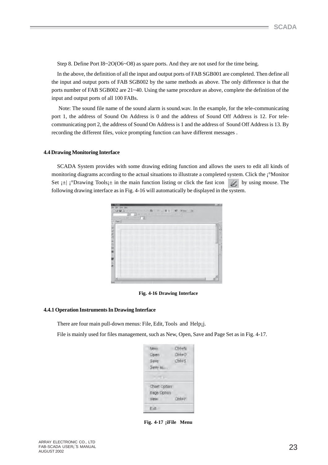Step 8. Define Port I8~2O(O6~O8) as spare ports. And they are not used for the time being.

In the above, the definition of all the input and output ports of FAB SGB001 are completed. Then define all the input and output ports of FAB SGB002 by the same methods as above. The only difference is that the ports number of FAB SGB002 are 21~40. Using the same procedure as above, complete the definition of the input and output ports of all 100 FABs.

 Note: The sound file name of the sound alarm is sound.wav. In the example, for the tele-communicating port 1, the address of Sound On Address is 0 and the address of Sound Off Address is 12. For telecommunicating port 2, the address of Sound On Address is 1 and the address of Sound Off Address is 13. By recording the different files, voice prompting function can have different messages .

#### **4.4 Drawing Monitoring Interface**

SCADA System provides with some drawing editing function and allows the users to edit all kinds of monitoring diagrams according to the actual situations to illustrate a completed system. Click the ¡°Monitor Set  $\vert \pm \vert$  i<sup>o</sup>Drawing Tools $\vert \pm \vert$  in the main function listing or click the fast icon by using mouse. The following drawing interface as in Fig. 4-16 will automatically be displayed in the system.

| Jus. ps      |                      |                    |
|--------------|----------------------|--------------------|
| DOMESTIC:    | 二菱型の壁<br>推二戸<br>すいます | Witness L. Library |
| 면 과정<br>1日 - | (行道)                 |                    |
| ■ 日米の内 4 日本  |                      | E.                 |
|              |                      | ш<br>Ì             |
|              |                      | ۰                  |
|              |                      | Ť<br>w             |
|              |                      |                    |
|              |                      | ц                  |
|              |                      |                    |
|              |                      |                    |
|              |                      |                    |
|              |                      |                    |

**Fig. 4-16 Drawing Interface**

#### **4.4.1 Operation Instruments In Drawing Interface**

There are four main pull-down menus: File, Edit, Tools and Help;j.

File is mainly used for files management, such as New, Open, Save and Page Set as in Fig. 4-17.

| <b>MANA</b><br><b>Dpen</b><br>Save: | Ctrl+N<br>Oil+0<br>Chi+5 |
|-------------------------------------|--------------------------|
| Savo doni<br>a a chu                |                          |
| Chart Option<br><b>Bage Option</b>  |                          |
| <b>Milesto</b><br>FOR.              | Ord+P                    |

**Fig. 4-17 ¡iFile Menu**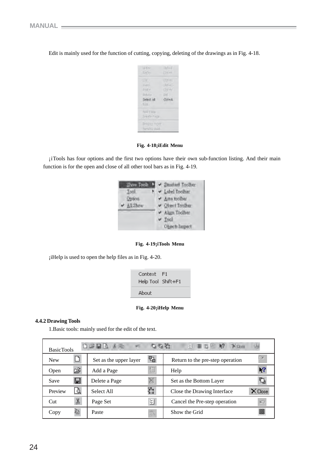Edit is mainly used for the function of cutting, copying, deleting of the drawings as in Fig. 4-18.

| 上のい<br><b>TeOp</b>                    | 31HL<br>$111 + 4$                              |
|---------------------------------------|------------------------------------------------|
| Select all<br><b>POL</b>              | $-1$<br>$-1+1$ .<br>中书<br><b>DOLL</b><br>Other |
| Add Time<br>Treate Face               |                                                |
| Fingsto hiper<br><b>Satulta avail</b> |                                                |

**Fig. 4-18¡iEdit Menu**

¡iTools has four options and the first two options have their own sub-function listing. And their main function is for the open and close of all other tool bars as in Fig. 4-19.



#### **Fig. 4-19¡iTools Menu**

¡iHelp is used to open the help files as in Fig. 4-20.

| Context F1<br>Help Tool Shift+F1 |  |
|----------------------------------|--|
| About                            |  |

#### **Fig. 4-20¡iHelp Menu**

#### **4.4.2 Drawing Tools**

1.Basic tools: mainly used for the edit of the text.

| 口运用图 人民<br>电动动<br><b>BasicTools</b> |   |                        |   |                                  |                |
|-------------------------------------|---|------------------------|---|----------------------------------|----------------|
| <b>New</b>                          |   | Set as the upper layer | 며 | Return to the pre-step operation |                |
| Open                                |   | Add a Page             |   | Help                             | $\mathbf{R}^2$ |
| Save                                |   | Delete a Page          |   | Set as the Bottom Layer          |                |
| Preview                             |   | Select All             | 亡 | Close the Drawing Interface      | X Close        |
| Cut                                 | 没 | Page Set               | ଆ | Cancel the Pre-step operation    | ĸ              |
| Copy                                | ð | Paste                  |   | Show the Grid                    | ##             |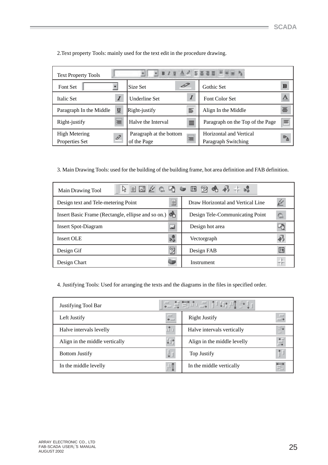۰

2.Text property Tools: mainly used for the text edit in the procedure drawing.

| A 2 客事項目 三菱屋<br>$\mathbb{F}_\mathbf{h}$<br>$B$ $I$<br>U.<br><b>Text Property Tools</b> |                          |                                        |   |                                                |          |
|----------------------------------------------------------------------------------------|--------------------------|----------------------------------------|---|------------------------------------------------|----------|
| Font Set                                                                               |                          | Size Set                               |   | Gothic Set                                     | B        |
| Italic Set                                                                             |                          | <b>Underline Set</b>                   |   | <b>Font Color Set</b>                          | A        |
| Paragraph In the Middle                                                                | $\underline{\mathbf{u}}$ | Right-justify                          | ₽ | Align In the Middle                            | 틀        |
| Right-justify                                                                          | ≡                        | Halve the Interval                     | ≣ | Paragraph on the Top of the Page               | $\equiv$ |
| <b>High Metering</b><br>Properties Set                                                 | D                        | Paragraph at the bottom<br>of the Page | 目 | Horizontal and Vertical<br>Paragraph Switching | ≞⊪       |

3. Main Drawing Tools: used for the building of the building frame, hot area definition and FAB definition.

| Main Drawing Tool                                  | 4 目屈⊉ € 题 ➡ 函 函 ← ∯ ⊹ ☆                 |
|----------------------------------------------------|-----------------------------------------|
| Design text and Tele-metering Point                | bi<br>Draw Horizontal and Vertical Line |
| Insert Basic Frame (Rectangle, ellipse and so on.) | Design Tele-Communicating Point<br>۱.,  |
| <b>Insert Spot-Diagram</b>                         | Design hot area                         |
| <b>Insert OLE</b>                                  | Vectorgraph                             |
| Design Gif                                         | Design FAB                              |
| Design Chart                                       | Instrument                              |

4. Justifying Tools: Used for arranging the texts and the diagrams in the files in specified order.

| Justifying Tool Bar            |                   | ∥음풍봉호-레고****10*40           |               |
|--------------------------------|-------------------|-----------------------------|---------------|
| Left Justify                   | 一<br>$\leftarrow$ | <b>Right Justify</b>        | $\rightarrow$ |
| Halve intervals levelly        | மீப               | Halve intervals vertically  | ≡∔<br>ш       |
| Align in the middle vertically | √∐†               | Align in the middle levelly | 怠             |
| <b>Bottom Justify</b>          | ΨI                | Top Justify                 | Ť             |
| In the middle levelly          | ₽Ţ                | In the middle vertically    | E             |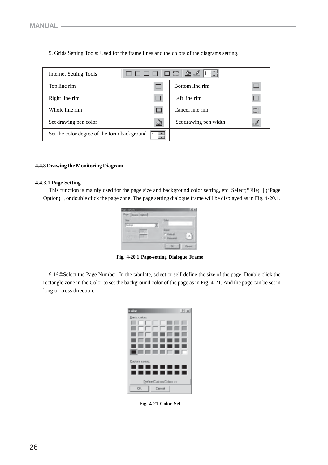5. Grids Setting Tools: Used for the frame lines and the colors of the diagrams setting.

| <b>Internet Setting Tools</b>                 |   |                       |                  |
|-----------------------------------------------|---|-----------------------|------------------|
| Top line rim                                  |   | Bottom line rim       |                  |
| Right line rim                                |   | Left line rim         |                  |
| Whole line rim                                |   | Cancel line rim       | <br><del>.</del> |
| Set drawing pen color                         | A | Set drawing pen width |                  |
| Set the color degree of the form background [ |   |                       |                  |

#### **4.4.3 Drawing the Monitoring Diagram**

#### **4.4.3.1 Page Setting**

This function is mainly used for the page size and background color setting, etc. Select;  ${}^{\circ}$ File; $\pm$ ¦  ${}^{\circ}$ Page Option<sub>j</sub><sup> $\pm$ </sup>, or double click the page zone. The page setting dialogue frame will be displayed as in Fig. 4-20.1.

| Cuton. |  |  |
|--------|--|--|
|        |  |  |
|        |  |  |

**Fig. 4-20.1 Page-setting Dialogue Frame**

£¨1£©Select the Page Number: In the tabulate, select or self-define the size of the page. Double click the rectangle zone in the Color to set the background color of the page as in Fig. 4-21. And the page can be set in long or cross direction.

| <b>Collor</b>   |                         |         |   | 2x |
|-----------------|-------------------------|---------|---|----|
| Baric colors:   |                         |         |   |    |
|                 |                         |         |   |    |
|                 |                         |         |   |    |
|                 |                         |         |   |    |
|                 |                         |         |   |    |
|                 |                         |         |   |    |
|                 |                         |         |   |    |
| Dustani polote: |                         |         |   |    |
|                 | ----------              |         |   |    |
|                 |                         | --<br>╻ | ш |    |
|                 | Define Custom Colore >> |         |   |    |
| OK.             |                         | Earroal |   |    |

**Fig. 4-21 Color Set**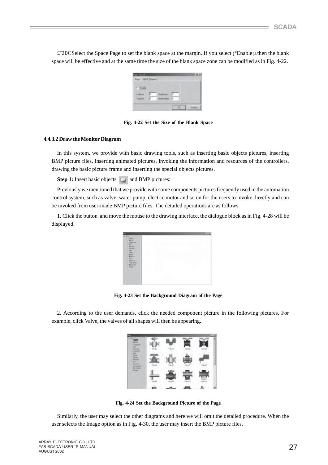£¨2£©Select the Space Page to set the blank space at the margin. If you select ¡°Enable¡±then the blank space will be effective and at the same time the size of the blank space zone can be modified as in Fig. 4-22.

| <b>Todde</b> |  |  |
|--------------|--|--|
|              |  |  |
|              |  |  |

**Fig. 4-22 Set the Size of the Blank Space**

#### **4.4.3.2 Draw the Monitor Diagram**

In this system, we provide with basic drawing tools, such as inserting basic objects pictures, inserting BMP picture files, inserting animated pictures, invoking the information and resources of the controllers, drawing the basic picture frame and inserting the special objects pictures.

**Step 1:** Insert basic objects **and BMP** pictures:

Previously we mentioned that we provide with some components pictures frequently used in the automation control system, such as valve, water pump, electric motor and so on for the users to invoke directly and can be invoked from user-made BMP picture files. The detailed operations are as follows.

1. Click the button and move the mouse to the drawing interface, the dialogue block as in Fig. 4-28 will be displayed.

| 実験記                                                                                                                                         |  |  |
|---------------------------------------------------------------------------------------------------------------------------------------------|--|--|
| Desiglia                                                                                                                                    |  |  |
| <b>Barrier</b>                                                                                                                              |  |  |
| <b>Zankert</b>                                                                                                                              |  |  |
| E                                                                                                                                           |  |  |
| Bake -                                                                                                                                      |  |  |
| Brevier                                                                                                                                     |  |  |
| $\begin{tabular}{ c c } \hline \textbf{Fright} \\ \hline \textbf{Bright} \\ \hline \textbf{Bright} \\ \hline \textbf{Bright} \end{tabular}$ |  |  |
|                                                                                                                                             |  |  |
|                                                                                                                                             |  |  |
|                                                                                                                                             |  |  |
|                                                                                                                                             |  |  |
|                                                                                                                                             |  |  |

**Fig. 4-23 Set the Background Diagram of the Page**

2. According to the user demands, click the needed component picture in the following pictures. For example, click Valve, the valves of all shapes will then be appearing.

| ٠  |     |  |  |
|----|-----|--|--|
| a, |     |  |  |
| ۰  |     |  |  |
|    |     |  |  |
|    |     |  |  |
|    | min |  |  |

**Fig. 4-24 Set the Background Picture of the Page**

Similarly, the user may select the other diagrams and here we will omit the detailed procedure. When the user selects the Image option as in Fig. 4-30, the user may insert the BMP picture files.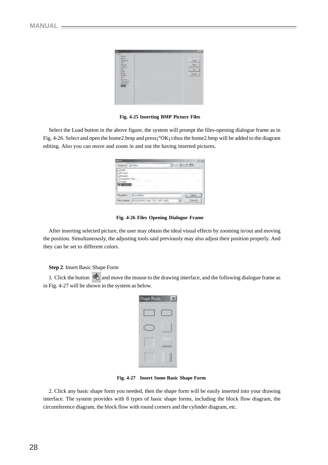

**Fig. 4-25 Inserting BMP Picture Files**

Select the Load button in the above figure, the system will prompt the files-opening dialogue frame as in Fig. 4-26. Select and open the home2.bmp and press<sub>i</sub> °OK<sub>i</sub>±thus the home2.bmp will be added to the diagram editing. Also you can move and zoom in and out the having inserted pictures.

| <b>Channel</b>                                                    |        | 7.1. |
|-------------------------------------------------------------------|--------|------|
| Look of Light Read                                                | ・トローロー |      |
| <b>This</b><br><b>L'Image</b><br><b>Deport</b><br>3 Stade for Fab |        |      |
| 11 Table<br><b>DECAMBRIDGE</b>                                    |        |      |

**Fig. 4-26 Files Opening Dialogue Frame**

After inserting selected picture, the user may obtain the ideal visual effects by zooming in/out and moving the position. Simultaneously, the adjusting tools said previously may also adjust their position properly. And they can be set to different colors.

#### **Step 2**. Insert Basic Shape Form

1. Click the button  $\overrightarrow{c}$  and move the mouse to the drawing interface, and the following dialogue frame as in Fig. 4-27 will be shown in the system as below.

| ø<br>Е<br>п | m |  |
|-------------|---|--|
|             |   |  |
|             |   |  |
|             |   |  |
|             |   |  |

 **Fig. 4-27 Insert Some Basic Shape Form**

2. Click any basic shape form you needed, then the shape form will be easily inserted into your drawing interface. The system provides with 8 types of basic shape forms, including the block flow diagram, the circumference diagram, the block flow with round corners and the cylinder diagram, etc.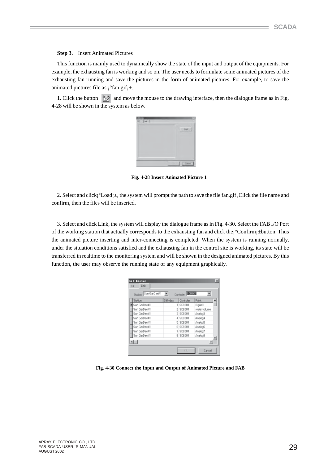#### **Step 3**. Insert Animated Pictures

This function is mainly used to dynamically show the state of the input and output of the equipments. For example, the exhausting fan is working and so on. The user needs to formulate some animated pictures of the exhausting fan running and save the pictures in the form of animated pictures. For example, to save the animated pictures file as  $\mathrm{i}^\circ$ fan.gif $\mathrm{i}^\pm$ .

1. Click the button and move the mouse to the drawing interface, then the dialogue frame as in Fig. 4-28 will be shown in the system as below.



 **Fig. 4-28 Insert Animated Picture 1**

2. Select and click;  $\textdegree$ Load; $\pm$ , the system will prompt the path to save the file fan.gif, Click the file name and confirm, then the files will be inserted.

3. Select and click Link, the system will display the dialogue frame as in Fig. 4-30. Select the FAB I/O Port of the working station that actually corresponds to the exhausting fan and click the¡°Confirm¡±button. Thus the animated picture inserting and inter-connecting is completed. When the system is running normally, under the situation conditions satisfied and the exhausting fan in the control site is working, its state will be transferred in realtime to the monitoring system and will be shown in the designed animated pictures. By this function, the user may observe the running state of any equipment graphically.

| Gif Editor<br>Link.<br>日子<br>Sun GarDen#1 |                 | Controler <b>PECECO</b> | ×            |
|-------------------------------------------|-----------------|-------------------------|--------------|
| Station<br>Station                        | <b>Ultindex</b> | Controler               | <b>Point</b> |
| Sun GarDen#1                              |                 | 1 5 0 8 0 0 1           | Digital1     |
| Sun GarDen#1                              |                 | 2 SCB001                | water volume |
| Sun GarDen#1                              |                 | 3 SCB001                | EpolenA      |
| Sun GarDen#1                              |                 | 4 SCB001                | Analog4      |
| Sun GarDen#1                              |                 | <b>5 SCB001</b>         | Analogo      |
| Sun GarDen#1                              |                 | 6 SCB001                | Analog5      |
| Sun GarDend1                              |                 | 7 SCB001                | Finalog?     |
| Sun GarDen#1                              |                 | 8 SCB001                | RoolersA     |
| $\blacksquare$                            |                 |                         |              |
|                                           |                 | D <sub>R</sub>          | Davoel       |

 **Fig. 4-30 Connect the Input and Output of Animated Picture and FAB**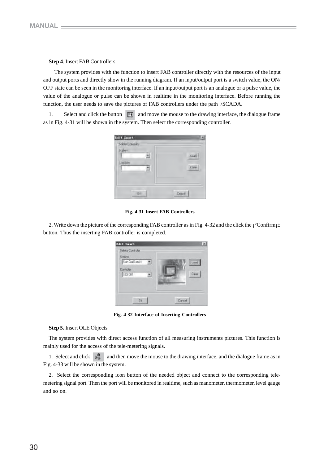#### **Step 4**. Insert FAB Controllers

 The system provides with the function to insert FAB controller directly with the resources of the input and output ports and directly show in the running diagram. If an input/output port is a switch value, the ON/ OFF state can be seen in the monitoring interface. If an input/output port is an analogue or a pulse value, the value of the analogue or pulse can be shown in realtime in the monitoring interface. Before running the function, the user needs to save the pictures of FAB controllers under the path .\SCADA.

1. Select and click the button  $\Box$  and move the mouse to the drawing interface, the dialogue frame as in Fig. 4-31 will be shown in the system. Then select the corresponding controller.

| <b>NIT Seat</b><br>Sales in Controller |  |
|----------------------------------------|--|
|                                        |  |
| <b>DE</b>                              |  |

**Fig. 4-31 Insert FAB Controllers**

2. Write down the picture of the corresponding FAB controller as in Fig. 4-32 and the click the ¡°Confirm¡± button. Thus the inserting FAB controller is completed.

| Selete Controler<br><b>Station</b><br>Sun GarDen#1<br><b>Controler</b><br>SC8001 | Lnad<br>F ferra |
|----------------------------------------------------------------------------------|-----------------|
| m                                                                                | Davoel          |

**Fig. 4-32 Interface of Inserting Controllers**

#### **Step 5.** Insert OLE Objects

The system provides with direct access function of all measuring instruments pictures. This function is mainly used for the access of the tele-metering signals.

1. Select and click  $\| \cdot \|$  and then move the mouse to the drawing interface, and the dialogue frame as in Fig. 4-33 will be shown in the system.

2. Select the corresponding icon button of the needed object and connect to the corresponding telemetering signal port. Then the port will be monitored in realtime, such as manometer, thermometer, level gauge and so on.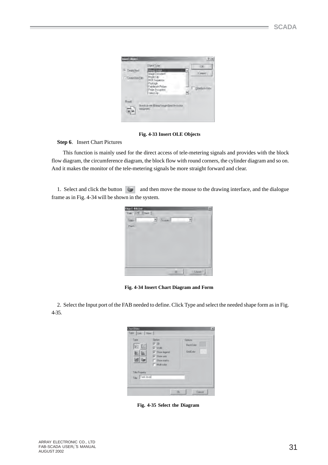|                       | <b>Disect Type:</b>               | 106                       |
|-----------------------|-----------------------------------|---------------------------|
| G Degibited           | Bittagg trasge                    |                           |
| <b>Constitut File</b> | - Instructo I appli<br>Media City | (Cargo)                   |
|                       | <b>NDI Suguents</b>               |                           |
|                       | Pockege.<br>Fantauch Fichas-      | Eliteäteilin Frifin<br>a. |
|                       | Piobe Bocurrent<br>Viewo Cip-     |                           |
|                       |                                   |                           |
| Revil                 |                                   |                           |
|                       | ein aussi Binno Insgedeschrinnten |                           |
| <b>MICLIFIERS</b>     |                                   |                           |

 **Fig. 4-33 Insert OLE Objects**

**Step 6**. Insert Chart Pictures

 This function is mainly used for the direct access of tele-metering signals and provides with the block flow diagram, the circumference diagram, the block flow with round corners, the cylinder diagram and so on. And it makes the monitor of the tele-metering signals be more straight forward and clear.

1. Select and click the button and then move the mouse to the drawing interface, and the dialogue frame as in Fig. 4-34 will be shown in the system.

| Saar<br>Field | $z$ $5$ and |  |
|---------------|-------------|--|
|               |             |  |
|               |             |  |
|               |             |  |
|               |             |  |
|               |             |  |

 **Fig. 4-34 Insert Chart Diagram and Form**

2. Select the Input port of the FAB needed to define. Click Type and select the needed shape form as in Fig. 4-35.

| Type<br>幽<br>挖<br>IL.             | <b>Upton</b><br>7.30<br><b>IF</b> Walk<br>D' Show legand<br>C Show and<br>IT Showmake<br>T Mult-color | Optons<br><b>BackCoke</b><br><b>UsefColor</b> |
|-----------------------------------|-------------------------------------------------------------------------------------------------------|-----------------------------------------------|
| Title Property<br>Tile Tork level |                                                                                                       | ÷                                             |

**Fig. 4-35 Select the Diagram**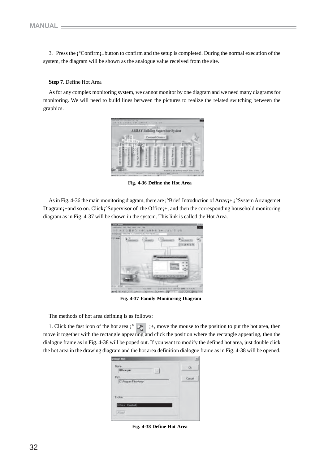3. Press the ¡°Confirm¡±button to confirm and the setup is completed. During the normal execution of the system, the diagram will be shown as the analogue value received from the site.

#### **Step 7**. Define Hot Area

As for any complex monitoring system, we cannot monitor by one diagram and we need many diagrams for monitoring. We will need to build lines between the pictures to realize the related switching between the graphics.



**Fig. 4-36 Define the Hot Area**

As in Fig. 4-36 the main monitoring diagram, there are  $\hat{i}^{\circ}$ Brief Introduction of Array $\hat{i}$ ±, $\hat{i}^{\circ}$ System Arrangemet Diagram; $\pm$ and so on. Click;<sup>°</sup>Supervisor of the Office; $\pm$ , and then the corresponding household monitoring diagram as in Fig. 4-37 will be shown in the system. This link is called the Hot Area.



 **Fig. 4-37 Family Monitoring Diagram**

The methods of hot area defining is as follows:

1. Click the fast icon of the hot area  $\left| \right|$   $\mathbb{R}^n$   $\left| \right|$   $\pm$ , move the mouse to the position to put the hot area, then move it together with the rectangle appearing and click the position where the rectangle appearing, then the dialogue frame as in Fig. 4-38 will be poped out. If you want to modify the defined hot area, just double click the hot area in the drawing diagram and the hot area definition dialogue frame as in Fig. 4-38 will be opened.

| Nave<br>Office pic.<br>۰         | Ok     |
|----------------------------------|--------|
| Path<br>C:\Program Files\Array   | Cancel |
|                                  |        |
|                                  |        |
| Eigkler<br><b>Office Central</b> |        |

**Fig. 4-38 Define Hot Area**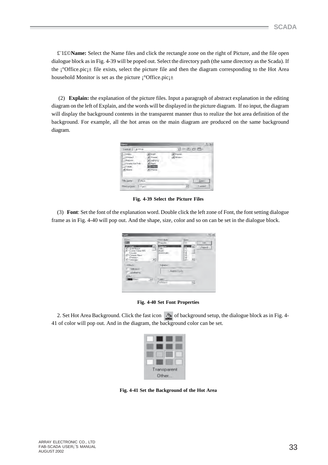£¨1£©**Name:** Select the Name files and click the rectangle zone on the right of Picture, and the file open dialogue block as in Fig. 4-39 will be poped out. Select the directory path (the same directory as the Scada). If the ¡°Office.pic¡± file exists, select the picture file and then the diagram corresponding to the Hot Area household Monitor is set as the picture  $\hat{i}$ °Office.pic $\hat{i}$ ±

 (2) **Explain:** the explanation of the picture files. Input a paragraph of abstract explanation in the editing diagram on the left of Explain, and the words will be displayed in the picture diagram. If no input, the diagram will display the background contents in the transparent manner thus to realize the hot area definition of the background. For example, all the hot areas on the main diagram are produced on the same background diagram.

| <b>Guen:</b>                                                                                                |                                                                                           |                                  |               |
|-------------------------------------------------------------------------------------------------------------|-------------------------------------------------------------------------------------------|----------------------------------|---------------|
| Lonkin: 34406                                                                                               |                                                                                           | $H = B \cup T$                   |               |
| <b>THREE</b><br><b>IProject</b><br><b>Horsey</b><br>Scada for Fatt<br>Time.<br>a) Mars<br><b>STATISTICS</b> | <b>Nicht</b><br>Printing<br>Lightong<br><b>Plastro</b><br><b>Office</b><br><b>A</b> Phone | <b>ATFORMA</b><br><b>Wilder:</b> |               |
| <b>Tils parts:</b><br>D'fice                                                                                |                                                                                           |                                  | <b>Green</b>  |
| <b>Returbed</b>                                                                                             | Page 1                                                                                    | ٠                                | <b>Langel</b> |

**Fig. 4-39 Select the Picture Files**

(3) **Font**: Set the font of the explanation word. Double click the left zone of Font, the font setting dialogue frame as in Fig. 4-40 will pop out. And the shape, size, color and so on can be set in the dialogue block.

| First<br><b>COLOR</b>                                                                                       | Ford style:<br>Fingsuin                                | <b>Since</b><br>$10 -$           | EK       |
|-------------------------------------------------------------------------------------------------------------|--------------------------------------------------------|----------------------------------|----------|
| <b>CONTROL</b><br><b>D.4MBSS</b><br>U Come Siara MS<br>Course:<br>Colam Nevi<br><b>FREQUAY</b><br>O Georgia | <b>Regular</b><br>Trailch<br><b>Buld</b><br>Belditalic | $10 -$<br>de.<br>ĩτ<br>医后神经<br>쬐 | Tuckevil |
| <b>Ethechi</b><br>Stillnock<br><b>MERRATHS</b>                                                              | <b>Sándia</b>                                          | Addit Vs Zz                      |          |
| Dav.<br>Black<br>터                                                                                          | Super<br>Western                                       | ×.                               |          |

**Fig. 4-40 Set Font Properties**

2. Set Hot Area Background. Click the fast icon  $\Diamond$  of background setup, the dialogue block as in Fig. 4-41 of color will pop out. And in the diagram, the background color can be set.

| Transparent |  |
|-------------|--|
| Other       |  |

**Fig. 4-41 Set the Background of the Hot Area**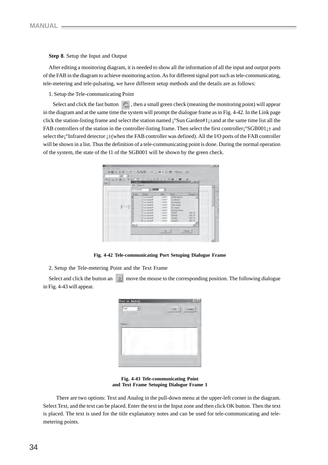#### **Step 8**. Setup the Input and Output

After editing a monitoring diagram, it is needed to show all the information of all the input and output ports of the FAB in the diagram to achieve monitoring action. As for different signal port such as tele-communicating, tele-metering and tele-pulsating, we have different setup methods and the details are as follows:

1. Setup the Tele-communicating Point

Select and click the fast button  $\binom{n}{\text{gen}}$ , then a small green check (meaning the monitoring point) will appear in the diagram and at the same time the system will prompt the dialogue frame as in Fig. 4-42. In the Link page click the station-listing frame and select the station named ¡°Sun Garden#1¡±and at the same time list all the FAB controllers of the station in the controller-listing frame. Then select the first controller;  $\degree$ SGB001; $\pm$  and select the<sub>i</sub>°Infrared detector  $\pm$  (when the FAB controller was defined). All the I/O ports of the FAB controller will be shown in a list. Thus the definition of a tele-communicating point is done. During the normal operation of the system, the state of the I1 of the SGB001 will be shown by the green check.



**Fig. 4-42 Tele-communicating Port Setuping Dialogue Frame**

2. Setup the Tele-metering Point and the Text Frame

Select and click the button an  $\equiv$  move the mouse to the corresponding position. The following dialogue in Fig. 4-43 will appear.

| $\Phi$<br>Carest. | TIR. | Test or faster<br>Tem<br>٠ |
|-------------------|------|----------------------------|
|                   |      | hmmus                      |
|                   |      |                            |
|                   |      |                            |

**Fig. 4-43 Tele-communicating Point and Text Frame Setuping Dialogue Frame 1**

 There are two options: Text and Analog in the pull-down menu at the upper-left corner in the diagram. Select Text, and the text can be placed. Enter the text in the Input zone and then click OK button. Then the text is placed. The text is used for the title explanatory notes and can be used for tele-communicating and telemetering points.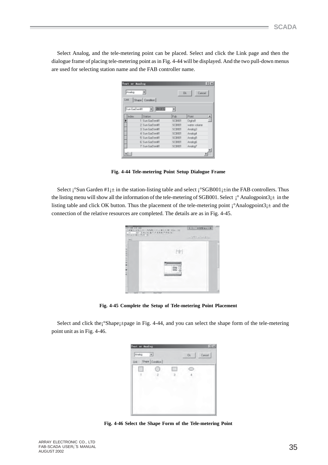Select Analog, and the tele-metering point can be placed. Select and click the Link page and then the dialogue frame of placing tele-metering point as in Fig. 4-44 will be displayed. And the two pull-down menus are used for selecting station name and the FAB controller name.

| Text or Analog |                 |               | ?            |
|----------------|-----------------|---------------|--------------|
| Analog         |                 | Ok.           | Cancel       |
| Link.          | Shape Condition |               |              |
|                |                 |               |              |
| Sun GarDen#1   | <b>STORE</b>    | ᅱ             |              |
| Index          | Station         | Fab           | Point        |
|                | 1 Sun GarDen#1  | <b>SCB001</b> | Digital1     |
|                | 2 Sun GarDend1  | SCR001        | water volume |
|                | 3 Sun GarDen#1  | <b>SCB001</b> | Analog3      |
|                | 4 Sun GarDend1  | SCR001        | Analog4      |
|                | 5 Sun GarDenti1 | <b>SCB001</b> | Analog5      |
|                | 6 Sun GarDentfl | SCB001        | Analog5      |
|                | 7 Sun GarDen#1  | <b>SCB001</b> | Analog7      |
|                |                 |               |              |
|                |                 |               |              |

**Fig. 4-44 Tele-metering Point Setup Dialogue Frame**

Select  $\mathbf{i}^{\circ}$ Sun Garden #1 $\mathbf{i}$ ± in the station-listing table and select  $\mathbf{i}^{\circ}$ SGB001 $\mathbf{i}$ ±in the FAB controllers. Thus the listing menu will show all the information of the tele-metering of SGB001. Select  $\mathrm{i}^\circ$  Analogpoint3 $\mathrm{i}$ ± in the listing table and click OK button. Thus the placement of the tele-metering point  $\hat{i}$ °Analogpoint3 $\hat{i}$ ± and the connection of the relative resources are completed. The details are as in Fig. 4-45.

| 1,000,000,000<br>3 8 0 F 10 5 5 6<br>2903 | <b>TAN 19</b><br>-1.78 | 有限に 体育製 800年          |
|-------------------------------------------|------------------------|-----------------------|
| <b>COMMERCIAL</b><br><b>Factor</b>        | 11 T .                 | <b>LAST AT A TIME</b> |
|                                           |                        |                       |
| ○ (1) 中国語の大阪 第一番 三                        |                        |                       |
|                                           |                        |                       |
|                                           | <b>Warmington</b>      |                       |
|                                           |                        |                       |
| <b>W</b><br>$-1$                          | <b>State Trippe</b>    |                       |

**Fig. 4-45 Complete the Setup of Tele-metering Point Placement**

Select and click the¡°Shape¡±page in Fig. 4-44, and you can select the shape form of the tele-metering point unit as in Fig. 4-46.

| Aralog | $-9$<br>Ships Condition | Ck. | Cancel |
|--------|-------------------------|-----|--------|
| $\top$ |                         |     |        |
|        |                         |     |        |

**Fig. 4-46 Select the Shape Form of the Tele-metering Point**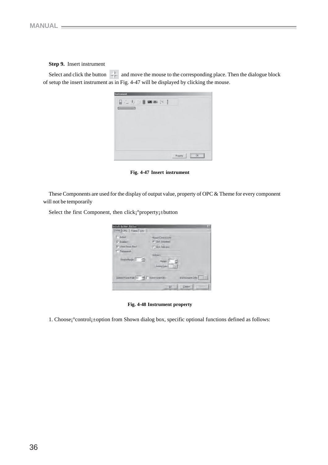### **Step 9.** Insert instrument

Select and click the button  $\leftarrow$  and move the mouse to the corresponding place. Then the dialogue block of setup the insert instrument as in Fig. 4-47 will be displayed by clicking the mouse.



**Fig. 4-47 Insert instrument**

These Components are used for the display of output value, property of OPC & Theme for every component will not be temporarily

Select the first Component, then click¡°property¡±button

| <b>F</b> Adwin                              | Nouse Contril 3 lute                       |
|---------------------------------------------|--------------------------------------------|
| $\nabla$ Entries                            | (F) Dick Anywhere                          |
| <b>V</b> Show Focals Reci                   | C Bidy Indicates                           |
| T Transment                                 |                                            |
| Bediellage 2 =                              | <b>Hidawor</b><br>Magin 7<br><b>Adward</b> |
| Update Frank Rain (SI) = T substrained Sta- | 皿<br><b>BuckBeard Color</b>                |

**Fig. 4-48 Instrument property**

1. Choose¡°control¡±option from Shown dialog box, specific optional functions defined as follows: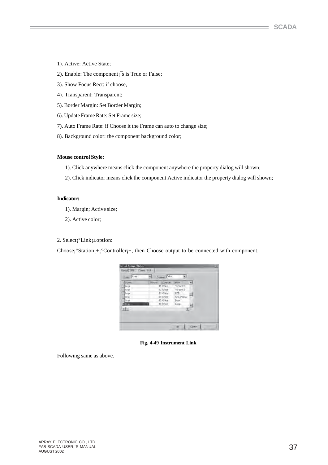- 1). Active: Active State;
- 2). Enable: The component;<sup> $\overline{\phantom{a}}$ </sup>s is True or False;
- 3). Show Focus Rect: if choose,
- 4). Transparent: Transparent;
- 5). Border Margin: Set Border Margin;
- 6). Update Frame Rate: Set Frame size;
- 7). Auto Frame Rate: if Choose it the Frame can auto to change size;
- 8). Background color: the component background color;

#### **Mouse control Style:**

- 1). Click anywhere means click the component anywhere the property dialog will shown;
- 2). Click indicator means click the component Active indicator the property dialog will shown;

#### **Indicator:**

- 1). Margin; Active size;
- 2). Active color;

### 2. Select¡°Link¡±option:

Choose;  $S$ tation; $\pm$ ;  $C$ ontroller; $\pm$ , then Choose output to be connected with component.

| Staten       | THINGS-<br>Extrite | Port        |  |
|--------------|--------------------|-------------|--|
| <b>Garcy</b> | T1 Office          | "YcPoint11  |  |
| <b>AVM</b>   | 12 Dilloe          | WePoint12   |  |
| <b>Arty</b>  | 13 Office          | DOD-        |  |
| Dardell      | T41Dftod           | ArCondition |  |
| <b>Gard</b>  | 10 Office          | Door        |  |
| <b>CAVAI</b> | T6 Diffoe          | Long.       |  |
| 石田           |                    | m           |  |
|              |                    |             |  |

**Fig. 4-49 Instrument Link**

Following same as above.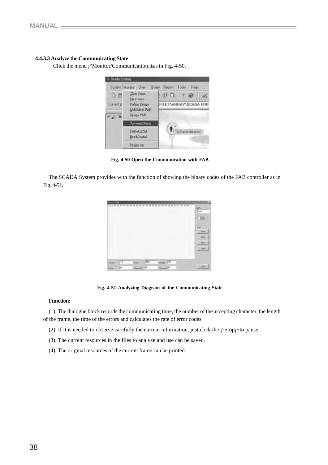#### **4.4.3.3 Analyze the Communicating State**

Click the menu  $\mathrm{i}^\circ$ Monitor/Communication $\mathrm{i}$ ±as in Fig. 4-50.



**Fig. 4-50 Open the Communication with FAB**

The SCADA System provides with the function of showing the binary codes of the FAB controller as in Fig. 4-51.

| <b>Print</b> Editor |     |     |             | 05 05 07 07 11 11 14 15 PT<br>19 |                           |
|---------------------|-----|-----|-------------|----------------------------------|---------------------------|
|                     |     |     |             |                                  | <b>SOH</b><br><b>Fact</b> |
|                     |     |     |             |                                  | 广场                        |
|                     |     |     |             |                                  | <b>Sur</b>                |
|                     |     |     |             |                                  | Tieve                     |
|                     |     |     |             |                                  | <b>That</b>               |
|                     |     |     |             |                                  | Des                       |
|                     |     |     |             |                                  | <b>List</b>               |
|                     |     |     |             |                                  |                           |
|                     | Fil | Day | <b>Tair</b> | Lingh 15                         | Diet.                     |
| Forms<br>ben.       |     |     |             | Outlet 77                        |                           |

**Fig. 4-51 Analyzing Diagram of the Communicating State**

#### **Function:**

(1). The dialogue block records the communicating time, the number of the accepting character, the length of the frame, the time of the errors and calculates the rate of error codes.

(2). If it is needed to observe carefully the current information, just click the  $\frac{1}{2}$ Stop $\pm$ to pause.

- (3). The current resources in the files to analyze and use can be saved.
- (4). The original resources of the current frame can be printed.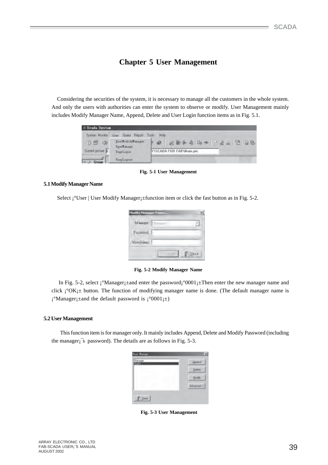# **Chapter 5 User Management**

Considering the securities of the system, it is necessary to manage all the customers in the whole system. And only the users with authorities can enter the system to observe or modify. User Management mainly includes Modify Manager Name, Append, Delete and User Login function items as in Fig. 5.1.

| Scale System                        |                                                                              |                                                |
|-------------------------------------|------------------------------------------------------------------------------|------------------------------------------------|
| <b>D 型 中</b>                        | System Monitor Linux Query Report Tools<br>Trecheti ryffanager<br>Tywitzage. | Heb<br>化聚合素 助卡 子宫山 空 山脉<br>$\overline{\omega}$ |
| Dusent picture F.<br><b>Finnass</b> | TuerLagin<br>ToerLogont                                                      | YNSCADA FOR FAB'Wain.pic.                      |

**Fig. 5-1 User Management**

#### **5.1 Modify Manager Name**

Select <sup>•</sup>User | User Modify Manager **i** ± function item or click the fast button as in Fig. 5-2.

| Museum.          | 188820 |  |
|------------------|--------|--|
| Fassword.        |        |  |
| <b>Niveliano</b> |        |  |

**Fig. 5-2 Modify Manager Name**

In Fig. 5-2, select  $\frac{1}{2}$ <sup>o</sup>Manager $\frac{1}{2}$  ± and enter the password $\frac{1}{2}$ <sup>o</sup>0001 $\frac{1}{2}$  Then enter the new manager name and click  $\mathrm{i}^\circ\mathrm{OK}$ ; ± button. The function of modifying manager name is done. (The default manager name is  $i^{\circ}$ Manager $i^{\pm}$ and the default password is  $i^{\circ}0001i^{\pm}$ )

#### **5.2 User Management**

 This function item is for manager only. It mainly includes Append, Delete and Modify Password (including the manager<sub>i</sub><sup>s</sup> password). The details are as follows in Fig. 5-3.

| Manager<br>m | Account      |
|--------------|--------------|
|              | Delete       |
|              | Modey        |
|              | cc beavend A |

 **Fig. 5-3 User Management**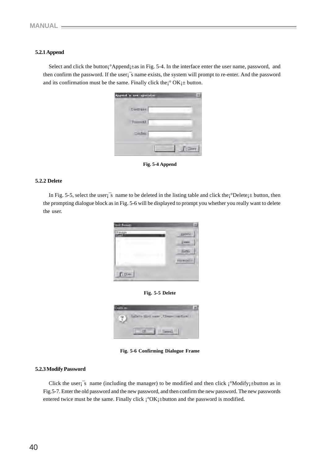### **5.2.1 Append**

Select and click the button; <sup>o</sup>Append<sub>1</sub>±as in Fig. 5-4. In the interface enter the user name, password, and then confirm the password. If the user¡¯s name exists, the system will prompt to re-enter. And the password and its confirmation must be the same. Finally click the  $\degree$  OK $\uparrow \pm$  button.

| great a see special |              |
|---------------------|--------------|
| Usediant.           |              |
| <b>Courses</b>      |              |
| <b>Srdm</b>         |              |
|                     | <b>FILTS</b> |

**Fig. 5-4 Append**

#### **5.2.2 Delete**

In Fig. 5-5, select the user;<sup> $\overline{\phantom{a}}$ </sup>s name to be deleted in the listing table and click the; $\degree$ Delete; $\pm$  button, then the prompting dialogue block as in Fig. 5-6 will be displayed to prompt you whether you really want to delete the user.







**Fig. 5-6 Confirming Dialogue Frame**

#### **5.2.3 Modify Password**

Click the user<sub>i</sub><sup>s</sup> name (including the manager) to be modified and then click  $\frac{1}{2}$ Modify $\frac{1}{2}$ button as in Fig.5-7. Enter the old password and the new password, and then confirm the new password. The new passwords entered twice must be the same. Finally click  $\chi^{\circ}$ OK<sub>i</sub>±button and the password is modified.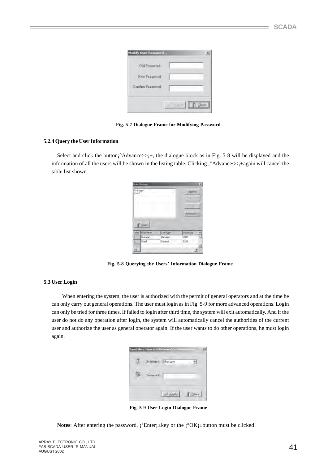| Old Password:       |  |  |
|---------------------|--|--|
| <b>New Passwort</b> |  |  |
| Confam Pageword     |  |  |

**Fig. 5-7 Dialogue Frame for Modifying Password**

### **5.2.4 Query the User Information**

Select and click the button $\hat{i}$ °Advance>> $\hat{i}$  the dialogue block as in Fig. 5-8 will be displayed and the information of all the users will be shown in the listing table. Clicking  $\hat{i}$ <sup>o</sup>Advance<< $\hat{j}$  ±again will cancel the table list shown.

| <b>Mánágei</b><br>Lised |                                       |                 | <b>Append</b>          |
|-------------------------|---------------------------------------|-----------------|------------------------|
|                         |                                       |                 | 911                    |
|                         |                                       |                 | <b>Auto</b>            |
|                         |                                       |                 | Advotoed.cc            |
|                         |                                       |                 |                        |
|                         | I Die<br><b><i><u>Unities</u></i></b> | <b>MISYTOpe</b> | FiliaMofd <sup>1</sup> |
|                         | Hanger                                | Manager         | 0331                   |
| <b>TIVIA</b>            | <b>Urerl</b><br>T,                    | General         | 1234                   |

 **Fig. 5-8 Querying the Users' Information Dialogue Frame**

### **5.3 User Login**

 When entering the system, the user is authorized with the permit of general operators and at the time he can only carry out general operations. The user must login as in Fig. 5-9 for more advanced operations. Login can only be tried for three times. If failed to login after third time, the system will exit automatically. And if the user do not do any operation after login, the system will automatically cancel the authorities of the current user and authorize the user as general operator again. If the user wants to do other operations, he must login again.

| $m + 1$ |  |
|---------|--|

**Fig. 5-9 User Login Dialogue Frame**

**Notes:** After entering the password,  $i^{\circ}$ Enter $i^{\pm}$ key or the  $i^{\circ}$ OK $i^{\pm}$ button must be clicked!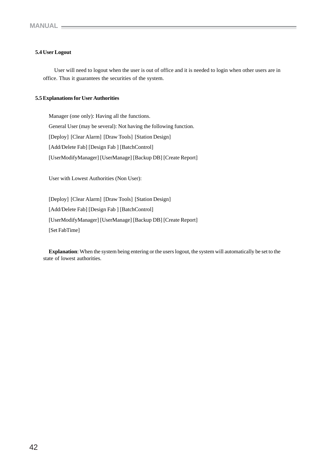### **5.4 User Logout**

 User will need to logout when the user is out of office and it is needed to login when other users are in office. Thus it guarantees the securities of the system.

#### **5.5 Explanations for User Authorities**

Manager (one only): Having all the functions. General User (may be several): Not having the following function. [Deploy] [Clear Alarm] [Draw Tools] [Station Design] [Add/Delete Fab] [Design Fab ] [BatchControl] [UserModifyManager] [UserManage] [Backup DB] [Create Report]

User with Lowest Authorities (Non User):

[Deploy] [Clear Alarm] [Draw Tools] [Station Design] [Add/Delete Fab] [Design Fab ] [BatchControl] [UserModifyManager] [UserManage] [Backup DB] [Create Report] [Set FabTime]

**Explanation**: When the system being entering or the users logout, the system will automatically be set to the state of lowest authorities.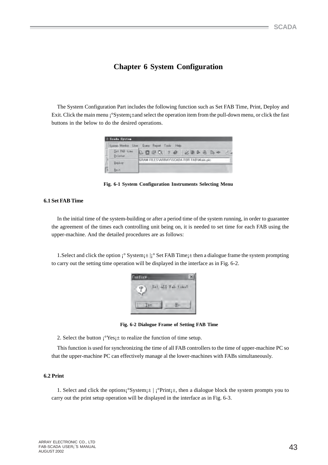# **Chapter 6 System Configuration**

The System Configuration Part includes the following function such as Set FAB Time, Print, Deploy and Exit. Click the main menu ¡°System¡±and select the operation item from the pull-down menu, or click the fast buttons in the below to do the desired operations.

|   | Scala System             |                                             |
|---|--------------------------|---------------------------------------------|
|   |                          | System Munica Line: Queey Report Tools Help |
|   | Set PAB time<br>Brinter. | 40 配收 2 级<br>必要条例 50 中                      |
|   | Deploy                   | GRAM FILES WIRAY IS CADA FOR FABI Main pic- |
| г | <b>Exit</b>              |                                             |

**Fig. 6-1 System Configuration Instruments Selecting Menu**

#### **6.1 Set FAB Time**

In the initial time of the system-building or after a period time of the system running, in order to guarantee the agreement of the times each controlling unit being on, it is needed to set time for each FAB using the upper-machine. And the detailed procedures are as follows:

1. Select and click the option  $\mathbf{i}^{\circ}$  System;  $\pm |\mathbf{i}^{\circ}$  Set FAB Time;  $\pm$  then a dialogue frame the system prompting to carry out the setting time operation will be displayed in the interface as in Fig. 6-2.



 **Fig. 6-2 Dialogue Frame of Setting FAB Time**

2. Select the button  $i^{\circ}Yes \pm$  to realize the function of time setup.

This function is used for synchronizing the time of all FAB controllers to the time of upper-machine PC so that the upper-machine PC can effectively manage al the lower-machines with FABs simultaneously.

#### **6.2 Print**

1. Select and click the options $\mathbf{i}^\circ$ System $\mathbf{i}$  +  $\mathbf{j}^\circ$ Print $\mathbf{i}$  +, then a dialogue block the system prompts you to carry out the print setup operation will be displayed in the interface as in Fig. 6-3.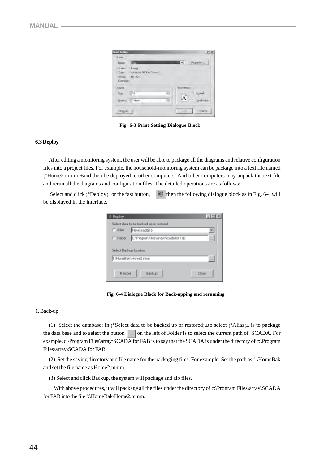| <b>Print Seites</b> |                      |   |                    | ×<br>21              |
|---------------------|----------------------|---|--------------------|----------------------|
| Pinter              |                      |   |                    |                      |
| Name:               | <b>Fig. 1989</b>     |   |                    | PLOERY               |
| Shikar              | <b>Heads</b>         |   |                    |                      |
| Type:               | Windows NT Fax Event |   |                    |                      |
| (MTHVe)             | <b>INSEAN</b>        |   |                    |                      |
| <b>Connect:</b>     |                      |   |                    |                      |
| <b>Roper</b>        |                      |   | <b>Elventation</b> |                      |
| <b>Site:</b>        | LA1                  | 칙 |                    | <sup>74</sup> Portal |
| Space               | Default.             | 闹 | A                  | / Landware           |
| <b>Newall</b>       |                      |   | <b>DE</b>          | <b>Carges</b>        |

**Fig. 6-3 Print Setting Dialogue Block**

#### **6.3 Deploy**

After editing a monitoring system, the user will be able to package all the diagrams and relative configuration files into a project files. For example, the household-monitoring system can be package into a text file named ¡°Home2.mmm¡±and then be deployed to other computers. And other computers may unpack the text file and rerun all the diagrams and configuration files. The detailed operations are as follows:

Select and click  $\mathbf{i}^{\circ}$ Deploy $\mathbf{i}$ ±or the fast button,  $\mathbf{E}$  then the following dialogue block as in Fig. 6-4 will be displayed in the interface.



 **Fig. 6-4 Dialogue Block for Back-upping and rerunning**

#### 1. Back-up

(1) Select the database: In  $\zeta^{\circ}$ Select data to be backed up or restored $\zeta$ =to select  $\zeta^{\circ}$ Alias $\zeta$ ± is to package the data base and to select the button on the left of Folder is to select the current path of SCADA. For example, c:\Program Files\array\SCADA for FAB is to say that the SCADA is under the directory of c:\Program Files\array\SCADA for FAB.

(2) Set the saving directory and file name for the packaging files. For example: Set the path as f:\HomeBak and set the file name as Home2.mmm.

(3) Select and click Backup, the system will package and zip files.

With above procedures, it will package all the files under the directory of c:\Program Files\array\SCADA for FAB into the file f:\HomeBak\Home2.mmm.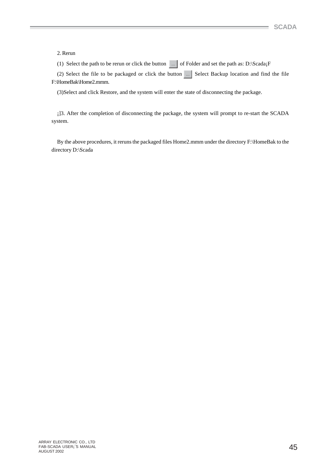#### 2. Rerun

(1) Select the path to be rerun or click the button  $\Box$  of Folder and set the path as: D:\Scada;F

(2) Select the file to be packaged or click the button  $\Box$  Select Backup location and find the file F:\HomeBak\Home2.mmm.

(3)Select and click Restore, and the system will enter the state of disconnecting the package.

¡]3. After the completion of disconnecting the package, the system will prompt to re-start the SCADA system.

By the above procedures, it reruns the packaged files Home2.mmm under the directory F:\HomeBak to the directory D:\Scada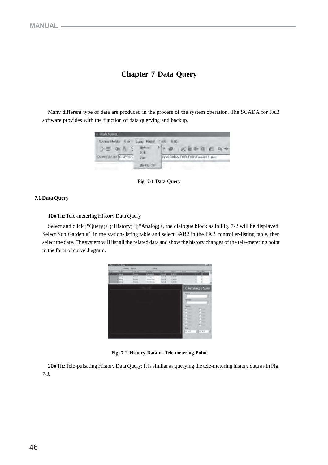# **Chapter 7 Data Query**

Many different type of data are produced in the process of the system operation. The SCADA for FAB software provides with the function of data querying and backup.

| State System.                                |                                      |                                                    |
|----------------------------------------------|--------------------------------------|----------------------------------------------------|
| Sylleni Monto<br><b>ULS</b><br>$D = Q(A, E)$ | <b>Bany, FROUT</b><br><b>Ithatry</b> | Tool!<br><b>HAD</b><br>$F$ 1 $\otimes$<br>必要取消 西西卡 |
| Daven picture CAPROC                         | 实正<br>Lise:                          | NY\SCADA FOR FABVEweed 1.pcc                       |
|                                              | <b>BUILD DE</b>                      |                                                    |

**Fig. 7-1 Data Query**

# **7.1 Data Query**

1£®The Tele-metering History Data Query

Select and click  $\mathrm{i}^\circ$ Query $\mathrm{i}$ ±| $\mathrm{i}^\circ$ History $\mathrm{i}$ ±| $\mathrm{i}^\circ$ Analog $\mathrm{i}$ ±, the dialogue block as in Fig. 7-2 will be displayed. Select Sun Garden #1 in the station-listing table and select FAB2 in the FAB controller-listing table, then select the date. The system will list all the related data and show the history changes of the tele-metering point in the form of curve diagram.

|                   | <b>Senate Strakin</b>                           | <b>Equine</b>                      | <b>COLLE</b>                                                        |                                          |                                                        |                                                                 |                                           | <b>Line</b> |
|-------------------|-------------------------------------------------|------------------------------------|---------------------------------------------------------------------|------------------------------------------|--------------------------------------------------------|-----------------------------------------------------------------|-------------------------------------------|-------------|
| <b>Total</b><br>н | <b>SIA</b><br>in a<br><b>MOS</b><br><b>Jorg</b> | <b>SALA</b><br>e<br><b>Futbook</b> | <b>Scientists</b><br>-<br>m<br>Tibigi is.<br>home liast<br>booking. | m<br><b>GAR</b><br><b>MAD</b><br>$4 - 4$ | <b>These</b><br>6.94<br>1944<br><b>Videos</b><br>5.400 | <b>STAR</b><br>٠                                                | THE AVE THUS<br>œ                         |             |
|                   |                                                 |                                    |                                                                     |                                          |                                                        | <b>Service</b><br>Tolkie<br>٠.<br><b>PSIM</b><br><b>Parties</b> | Checking Items<br>τ<br>$\sim$<br>٠<br>m   | ٠           |
|                   |                                                 |                                    |                                                                     |                                          |                                                        | <b>Please</b><br>$\sim$<br><b>Plant</b><br><b>Fig. 3.2</b>      | rim<br><b>START</b><br>المنابذة<br>134.42 |             |

**Fig. 7-2 History Data of Tele-metering Point**

2£®The Tele-pulsating History Data Query: It is similar as querying the tele-metering history data as in Fig. 7-3.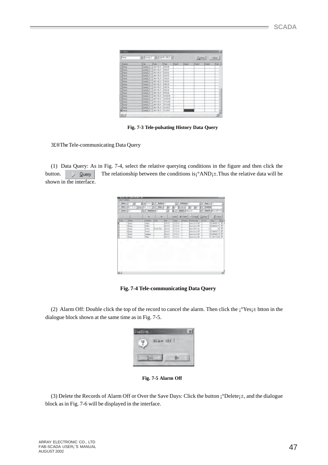| <b>Florid</b>  |              | [El Control, T   [M] 2007年 5月21 (M) |           |        |              | <b>CAPRO</b> |       | Close. |
|----------------|--------------|-------------------------------------|-----------|--------|--------------|--------------|-------|--------|
| Shakoo         | Fall         | 0.86                                | Tanak     | Data'l | <b>Excel</b> | Data3        | Dated | 日刷子    |
| Hum            | Contell, T.  | 2001-06-21                          | 190806    |        |              |              |       |        |
| How            | Control: T   | 283.05.21                           | 97607     |        |              |              |       | Ŧ      |
| <b>Horne</b>   | Cantol: T.   | 2801-05-25                          | 19:20:02  |        | -----        |              |       |        |
| <b>Home</b>    | Contest, 11  | 2801-05-21                          | 32500     |        |              |              |       |        |
| <b>Home</b>    | Canter 1     | 2831-06-21                          | 9.30.03   |        |              |              |       |        |
| Hisne          | Control T.   | 2001-05-21                          | 予想用       |        |              | $\sim$       |       |        |
| Hares          | Control: Ti  | 2801-05-21                          | 3:42:04   |        |              |              |       |        |
| <b>Horse</b>   | Cardolf, T.  | 2901-05-21                          | $-194506$ |        |              |              |       |        |
| <b>Though</b>  | Coreul, II   | 2001-06-21                          | 19.90.04  |        |              |              |       |        |
| Horse          | Control T.   | 2001-05-21                          | 3,55.05   |        |              |              |       |        |
| <b>Higher</b>  | Cantol: 1    | 2801-06-29                          | 110,0005  |        |              |              |       |        |
| <b>Harry</b>   | Cirvinol, T. | 2801-05-21                          | TEMPOS.   |        |              |              |       |        |
| <b>Flores</b>  | Control: T.  | 2801-05-21                          | 101006    |        |              |              |       |        |
| Home           | Cantol T.    | 2801-06-21                          | TR1506    |        |              |              |       |        |
| <b>Flane</b>   | Careol 1     | 2801-05-21                          | 10:20:37  |        |              |              |       |        |
| <b>Niliane</b> | Cardial 11   | 283 0521 19:26:07                   |           |        |              |              |       |        |

 **Fig. 7-3 Tele-pulsating History Data Query**

3£®The Tele-communicating Data Query

(1) Data Query: As in Fig. 7-4, select the relative querying conditions in the figure and then click the button.  $\Diamond$  Query The relationship between the conditions is<sub>i</sub>°AND<sub>i</sub> $\pm$ . Thus the relative data will be shown in the interface.

| <b>Full and</b><br><b>Tiraer</b><br><b>Second</b><br>Tues<br>Fragment<br><b>Sathers</b><br><b>Liman</b><br><b>System</b><br>$77+$<br>Cars<br>104.37<br>131480137<br>TF51 14<br><b>Boschrie Diff</b><br>1. Harry<br>A'kets<br>n.<br>4 3 HEALTH IT<br>173144<br>Brack is DF<br><b>RUA 27</b><br>$2$ Mary<br>Diffus.<br>쉌<br><b>Cows Date</b><br>834-20<br><b>BowOffrock</b><br>175814<br>3 Maret<br>Person<br><b>ED SENSITY!</b><br>Bonchets DE<br>614.07<br>TESI 14<br><b>Pores</b><br>4 Herry | Sime 4 |  |  |  |  |
|-----------------------------------------------------------------------------------------------------------------------------------------------------------------------------------------------------------------------------------------------------------------------------------------------------------------------------------------------------------------------------------------------------------------------------------------------------------------------------------------------|--------|--|--|--|--|
|                                                                                                                                                                                                                                                                                                                                                                                                                                                                                               |        |  |  |  |  |
|                                                                                                                                                                                                                                                                                                                                                                                                                                                                                               |        |  |  |  |  |
|                                                                                                                                                                                                                                                                                                                                                                                                                                                                                               | ×      |  |  |  |  |
|                                                                                                                                                                                                                                                                                                                                                                                                                                                                                               |        |  |  |  |  |
| 43.1494993.27<br>1731.15<br>Brazile in Diff<br><b>ELA</b> 27<br>$2.55$ are $x$<br>Lighting                                                                                                                                                                                                                                                                                                                                                                                                    |        |  |  |  |  |
| 854-20<br>109415<br>BowCu to Off<br>8 509 7704<br><b>Walter</b><br>6 Marey                                                                                                                                                                                                                                                                                                                                                                                                                    | l en   |  |  |  |  |
|                                                                                                                                                                                                                                                                                                                                                                                                                                                                                               |        |  |  |  |  |

**Fig. 7-4 Tele-communicating Data Query**

(2) Alarm Off: Double click the top of the record to cancel the alarm. Then click the  $\zeta^{\circ}$ Yes $\zeta$ ± btton in the dialogue block shown at the same time as in Fig. 7-5.

**Fig. 7-5 Alarm Off**

(3) Delete the Records of Alarm Off or Over the Save Days: Click the button ¡°Delete¡±, and the dialogue block as in Fig. 7-6 will be displayed in the interface.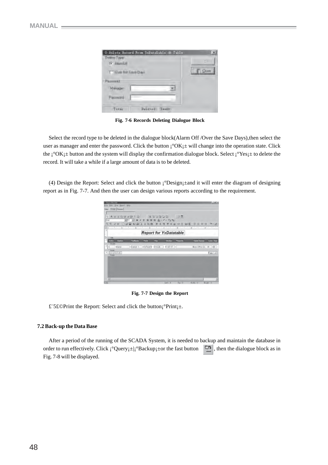| Talets Issued From InDutatedia. dr Tanla-<br><b>Diskins TWW</b><br>To Atlantist | ПF |
|---------------------------------------------------------------------------------|----|
| <b>T. Live for Save Days</b>                                                    |    |
| :Passward<br><b>Harage</b>                                                      |    |
| <b>Facrecat</b>                                                                 |    |
| THER.<br>Believad: Basir-                                                       |    |

**Fig. 7-6 Records Deleting Dialogue Block**

Select the record type to be deleted in the dialogue block(Alarm Off /Over the Save Days),then select the user as manager and enter the password. Click the button  $\mathbf{i}^{\circ}$ OK $\mathbf{i}$  will change into the operation state. Click the  $\mathbf{i}^\circ \mathbf{O} \mathbf{K}_1 \pm \mathbf{b}$  button and the system will display the confirmation dialogue block. Select  $\mathbf{i}^\circ \mathbf{Y}$ es $\mathbf{i} \pm \mathbf{b}$  delete the record. It will take a while if a large amount of data is to be deleted.

(4) Design the Report: Select and click the button ¡°Design¡±and it will enter the diagram of designing report as in Fig. 7-7. And then the user can design various reports according to the requirement.



**Fig. 7-7 Design the Report**

£¨5£©Print the Report: Select and click the button¡°Print¡±.

#### **7.2 Back-up the Data Base**

After a period of the running of the SCADA System, it is needed to backup and maintain the database in order to run effectively. Click  $\mathbf{i}^\circ$ Query $\mathbf{i}$ :  $\mathbf{Backup}$  then fast button  $\Box$ , then the dialogue block as in Fig. 7-8 will be displayed.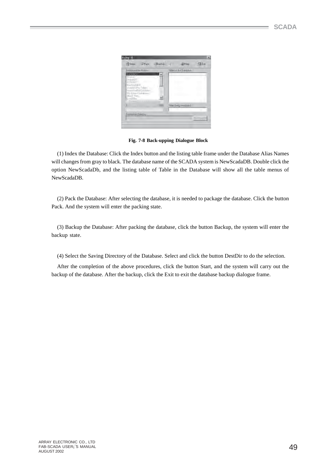| <b>Fill Index</b>                           | <b>Philo</b>          |              | Backip / Blake          | <b>TAEsa</b> |
|---------------------------------------------|-----------------------|--------------|-------------------------|--------------|
| <b>BIMSHIVARY RORE</b>                      |                       |              | TANKS AV RIG DI BASSAGE |              |
| pre-lies.<br><b>Bland</b>                   |                       |              | n.                      |              |
| DetectO<br>RETENDS                          |                       |              |                         |              |
| MauSootster.                                |                       |              |                         |              |
| Visualporter Tables<br>VeterAFrielVBD/355Ni |                       |              |                         |              |
| Mi Arner/Jul-Messel<br>(FAIR Floy)          |                       |              |                         |              |
| Excall Filmi                                | <b>Charles Avenue</b> | ť.           |                         |              |
| Black the Controller                        |                       | <b>STIPS</b> | Taren being remoted to  |              |
|                                             |                       |              | . .<br>$\sim$           |              |
|                                             | Deuxston Diesson      |              |                         |              |

**Fig. 7-8 Back-upping Dialogue Block**

(1) Index the Database: Click the Index button and the listing table frame under the Database Alias Names will changes from gray to black. The database name of the SCADA system is NewScadaDB. Double click the option NewScadaDb, and the listing table of Table in the Database will show all the table menus of NewScadaDB.

(2) Pack the Database: After selecting the database, it is needed to package the database. Click the button Pack. And the system will enter the packing state.

(3) Backup the Database: After packing the database, click the button Backup, the system will enter the backup state.

(4) Select the Saving Directory of the Database. Select and click the button DestDir to do the selection.

After the completion of the above procedures, click the button Start, and the system will carry out the backup of the database. After the backup, click the Exit to exit the database backup dialogue frame.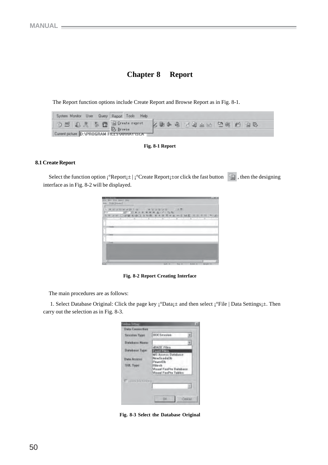# **Chapter 8 Report**

The Report function options include Create Report and Browse Report as in Fig. 8-1.

| System Monitor User Query Report Tools Help   |                           |
|-----------------------------------------------|---------------------------|
|                                               | <b>SEG 22 AL 25 B B B</b> |
| Current picture D: VPROGRAM FILES VARIAT ISLA |                           |

**Fig. 8-1 Report**

#### **8.1 Create Report**

Select the function option  $\mathbf{i}^\circ$ Report $\mathbf{i}$   $\pm$  |  $\mathbf{j}^\circ$ Create Report $\mathbf{i}$  + or click the fast button  $\Box$ , then the designing interface as in Fig. 8-2 will be displayed.

| <b>U. Dogwid Booths</b>                                         |                   | <b>LA MER</b>                           |
|-----------------------------------------------------------------|-------------------|-----------------------------------------|
| tile \$60. The Blant Bike<br>Retail Christ Systems 2 11.        |                   |                                         |
|                                                                 |                   |                                         |
| <b>BARBARA PIRT ARTICLE</b>                                     | 77.2.77           |                                         |
| m<br>APP AT \$1.2000 BOW                                        | 田 品・デー ねね         |                                         |
| w<br>N 2 W DW M DWD 3 9 TO 6 9 T C 6 W DW A 2 W DWD 2 R DWD 2 W |                   |                                         |
| <b>The Second Second</b>                                        | The Second Second | <b>ILLING</b>                           |
| ۰                                                               |                   |                                         |
|                                                                 |                   |                                         |
| TRANS<br>÷                                                      |                   |                                         |
| OB.                                                             |                   |                                         |
| <b>THE</b>                                                      |                   |                                         |
|                                                                 |                   |                                         |
|                                                                 |                   |                                         |
| 1 Forest                                                        |                   |                                         |
|                                                                 |                   |                                         |
|                                                                 |                   |                                         |
|                                                                 |                   |                                         |
|                                                                 |                   |                                         |
|                                                                 |                   |                                         |
| <b>Bandi</b>                                                    | 345.3<br>94 5     | <b>Barulet</b><br><b>Waller II</b><br>m |

**Fig. 8-2 Report Creating Interface**

The main procedures are as follows:

 1. Select Database Original: Click the page key ¡°Data¡± and then select ¡°File | Data Settings¡±. Then carry out the selection as in Fig. 8-3.

| ш                     | 医                                                                         |
|-----------------------|---------------------------------------------------------------------------|
| Data Commetter        |                                                                           |
| <b>Seaster Type</b>   | <b>BOESession</b>                                                         |
| Database Nes          |                                                                           |
| <b>Dirichose Type</b> | i strel i<br>MS Alicens Databas                                           |
| Data Accorat          | Newlands (1974<br>Pesant Ob.                                              |
| SSL Types             | Fisher of the<br><b>Masal Foother Databana</b><br>Missail Faoil to Tables |
| <b>Faired anno</b>    |                                                                           |
|                       | Centri                                                                    |

**Fig. 8-3 Select the Database Original**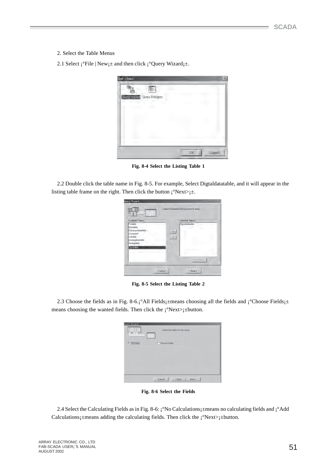- 2. Select the Table Menus
- 2.1 Select  $i^{\circ}$ File | New $i^{\pm}$  and then click  $i^{\circ}$ Query Wizard $i^{\pm}$ .

| <b>Jan Davo</b>                | 厌 |
|--------------------------------|---|
|                                |   |
| <b>DESCRIPTION</b> CONTROLLERY |   |
|                                |   |
|                                |   |
|                                |   |
|                                |   |
|                                |   |
|                                |   |

**Fig. 8-4 Select the Listing Table 1**

2.2 Double click the table name in Fig. 8-5. For example, Select Digtaldatatable, and it will appear in the listing table frame on the right. Then click the button  $\mathrm{i}^\circ$ Next> $\mathrm{i}^\circ$ .

| Available Tiddez<br>Francisco<br><b>Harasbia</b>                             |         | Selected Tabler<br>Digital-Litatisher<br>τ<br>٠ |  |
|------------------------------------------------------------------------------|---------|-------------------------------------------------|--|
| Stellcrycolalablei<br>Jaspert:<br>Vikisbir<br>Arabosistatski<br>Arnibot Mile | $\pm 0$ |                                                 |  |
| 0000005                                                                      |         |                                                 |  |

**Fig. 8-5 Select the Listing Table 2**

2.3 Choose the fields as in Fig. 8-6.; <sup>o</sup>All Fields<sub>1</sub>±means choosing all the fields and ¡ <sup>o</sup>Choose Fields<sub>1</sub>± means choosing the wanted fields. Then click the  $\mathrm{i}^\circ$ Next> $\mathrm{i}^\pm$ button.

| Query Micard<br>부지 | Select the helds for the quest.<br>$-1.5$<br>333 |
|--------------------|--------------------------------------------------|
| IT All Fields      | C Droose Fields                                  |
|                    |                                                  |
|                    |                                                  |
|                    |                                                  |
|                    | Excel<br>c Dack.<br>News-                        |

**Fig. 8-6 Select the Fields**

2.4 Select the Calculating Fields as in Fig. 8-6: ¡°No Calculations¡±means no calculating fields and ¡°Add Calculations<sub>1</sub>±means adding the calculating fields. Then click the  $\mathrm{i}^\circ$ Next> $\mathrm{i}$ ±button.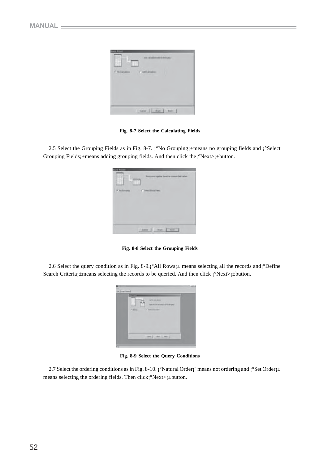

**Fig. 8-7 Select the Calculating Fields**

2.5 Select the Grouping Fields as in Fig. 8-7. ¡°No Grouping<sub>1</sub>±means no grouping fields and ¡°Select Grouping Fields<sub>1</sub>±means adding grouping fields. And then click the<sub>1</sub>°Next><sub>1</sub>±button.

| ١<br>t       |                                                  |
|--------------|--------------------------------------------------|
| F. Billiners | C besting feb.                                   |
|              |                                                  |
|              |                                                  |
|              |                                                  |
|              | <b>Harry</b><br><b>Carl Filled</b><br>$7.2$ avai |

**Fig. 8-8 Select the Grouping Fields**

2.6 Select the query condition as in Fig. 8-9.¡°All Rows¡± means selecting all the records and¡°Define Search Criteria¡±means selecting the records to be queried. And then click ¡°Next>¡±button.



**Fig. 8-9 Select the Query Conditions**

2.7 Select the ordering conditions as in Fig. 8-10. ¡°Natural Order¡¨ means not ordering and ¡°Set Order¡± means selecting the ordering fields. Then click¡°Next>¡±button.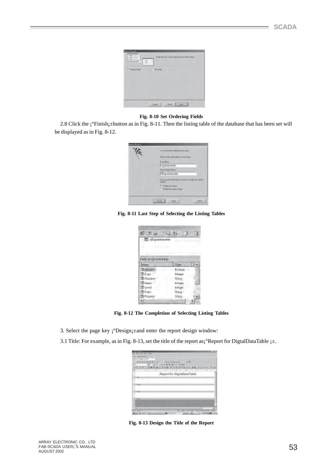| <b>Gears Winedi</b><br>1,866<br><b>11,950</b><br>$11 - 8$ and $-11$<br><b>SALE</b><br>2 april 10 cm<br>٠<br><b><i><u>ICRASS STRANGE</u></i></b> | Drike the cover of the guary based on held visiters. |
|-------------------------------------------------------------------------------------------------------------------------------------------------|------------------------------------------------------|
| <b>/F. National Ender</b>                                                                                                                       | <b>C. Set Duter</b>                                  |
|                                                                                                                                                 | Book<br>Here's<br>Carol                              |

#### **Fig. 8-10 Set Ordering Fields**

2.8 Click the ¡°Finish¡±button as in Fig. 8-11. Then the listing table of the database that has been set will be displayed as in Fig. 8-12.



**Fig. 8-11 Last Step of Selecting the Listing Tables**

| 日 山 目<br>$62 - 24$<br>-III pDictainante |         |     |
|-----------------------------------------|---------|-----|
| False lo cimidatable<br>None            | Type:   | 5.5 |
| Thiabusines                             | Bioleen |     |
| TB D rest                               | Wingst  |     |
| <b>III</b> Flundries                    | Sting   |     |
| <b>Ill trains</b>                       | készar  |     |
| <b>Block</b>                            | kinger  |     |
| <b>Ill</b> Point                        | Streg   |     |
| Fropers                                 | Sting   |     |
| O.                                      |         |     |

**Fig. 8-12 The Completion of Selecting Listing Tables**

- 3. Select the page key  $\mathrm{i}^{\circ}$ Design $\mathrm{i}$ ±and enter the report design window:
- 3.1 Title: For example, as in Fig. 8-13, set the title of the report as $\beta^{\circ}$ Report for DigtalDataTable  $\beta$ .

| 18 x X-m James State                                               |       |
|--------------------------------------------------------------------|-------|
| in The Tun!<br><b>March Capal Inform</b>                           |       |
| A SCHOOL 2011 G<br><b>CALCULATION CONTINUES</b>                    |       |
|                                                                    |       |
| H2: H2 # 7 単 単 単 単 点· P+ 指指                                        |       |
| <b>NEW RESIDENCE</b><br>在市中部 计目 副室   写 图                           | OWNER |
| Report for DigitalDataTable                                        |       |
|                                                                    |       |
|                                                                    |       |
|                                                                    |       |
|                                                                    |       |
|                                                                    |       |
|                                                                    |       |
|                                                                    |       |
| THE                                                                |       |
|                                                                    |       |
|                                                                    |       |
|                                                                    |       |
|                                                                    |       |
| and the party of the concentration<br>The party of the first state |       |

**Fig. 8-13 Design the Title of the Report**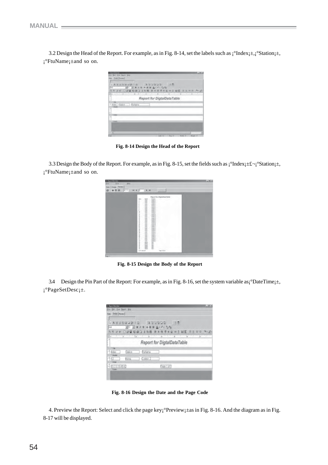3.2 Design the Head of the Report. For example, as in Fig. 8-14, set the labels such as  $\int^{\infty} \text{Index}[\pm, \int^{\infty} \text{Station}]^{\pm}$ , ¡°FtuName¡±and so on.

| On have less                                                                        |
|-------------------------------------------------------------------------------------|
|                                                                                     |
| <b>NUMBER ASSESS IN</b><br>10 メモノをおはなムーマーなか                                         |
| <b>18. 口腔图 的确正正则图 显示语言中断中于相互 法正中的 净(区</b><br>A PARTIES AND RESIDENCE AND RESIDENCE. |
| Report for DigitalDataTable                                                         |
| <br>McTDAH - Bries                                                                  |
| <b>SILLER</b>                                                                       |
|                                                                                     |

 **Fig. 8-14 Design the Head of the Report**

3.3 Design the Body of the Report. For example, as in Fig. 8-15, set the fields such as  $\int$ °Index $\pm \pm \int$ <sup>°</sup>Station $\pm$ , ¡°FtuName¡±and so on.

| <b><i>U.Septe District</i></b><br>this.<br>his-<br>Tim-<br><b>Contract</b> |                                                                                                                                                                                                                                                                                                                                                                                                                                                                                                                                                                                                                                                                                                                                                                                                                                                                                                                                                                                                                                                                                                                           | <b>Liets</b> |
|----------------------------------------------------------------------------|---------------------------------------------------------------------------------------------------------------------------------------------------------------------------------------------------------------------------------------------------------------------------------------------------------------------------------------------------------------------------------------------------------------------------------------------------------------------------------------------------------------------------------------------------------------------------------------------------------------------------------------------------------------------------------------------------------------------------------------------------------------------------------------------------------------------------------------------------------------------------------------------------------------------------------------------------------------------------------------------------------------------------------------------------------------------------------------------------------------------------|--------------|
| Das   Segal Terme                                                          |                                                                                                                                                                                                                                                                                                                                                                                                                                                                                                                                                                                                                                                                                                                                                                                                                                                                                                                                                                                                                                                                                                                           |              |
| 日日日<br>$-41.7$<br>$14 - 4$<br>a                                            | <b>F. H.</b><br>W.                                                                                                                                                                                                                                                                                                                                                                                                                                                                                                                                                                                                                                                                                                                                                                                                                                                                                                                                                                                                                                                                                                        |              |
|                                                                            |                                                                                                                                                                                                                                                                                                                                                                                                                                                                                                                                                                                                                                                                                                                                                                                                                                                                                                                                                                                                                                                                                                                           |              |
|                                                                            | Maguel for Diphothers fable<br><b>PLAIN</b><br>ture<br>100<br>$\frac{1}{2}$<br>٠<br><b>Diego</b> , F.<br>Cast<br>sales.<br>≍<br>Good, J<br>٠<br>LIMBA<br><b>SERVE</b><br>1488.3<br>÷<br><b>Hotel</b><br>OPEJ<br><b>Hart</b><br>Coven, A<br>Cares, A<br>٠<br>teres.<br><b>Link</b><br><b>Callie 1</b><br>٠<br>ż<br><b>Address</b><br><b>Dietail</b><br>÷<br>Date L.<br>÷<br>SHOPLA A<br>tues.<br>÷<br><b>TANK</b><br>1014.4<br>۰<br>totals.<br>Loans, A<br>t<br>₩<br>四<br>$\frac{1}{2}$<br>in the<br><b>Light A</b><br><b>Links</b><br><b>Langua</b><br>$\frac{1}{2}$<br>Dekk)<br>ready.<br>Links J<br>÷<br>Total C<br>Lares.<br>×<br>only.<br>totals.<br><b>HASAAR</b><br>$-$<br>Deed, i<br>Green, I<br>z.<br>Lores, J.<br>sales.<br>cooks.<br><b>Address</b><br>Detect.<br>700<br>Gent. I<br><b>THE</b><br>GREE.F<br><b>LEG</b><br>LUES, I<br>ī.<br>$\rightarrow$<br>Case Li<br>Caret, c<br>₩<br>Limit. I<br>÷<br><b>Weight</b><br>ü<br><b>SALE</b><br>î<br>₩<br>$-0.01$<br><b>Sight</b><br>ī<br><b>NAME</b><br><b>SEE</b><br>$-441$<br><b>NATE</b><br>š<br><b>Sales</b><br><b>GAL</b><br><b>Links</b><br>641-kilof<br>۰ |              |

**Fig. 8-15 Design the Body of the Report**

3.4 Design the Pin Part of the Report: For example, as in Fig. 8-16, set the system variable as¡°DateTime¡±, ¡°PageSetDesc¡±.

| <b>ARROG</b><br>过春                |
|-----------------------------------|
| キノリコヨニム・バーもな                      |
| or Oug Data she bed verwing no be |
| and a college                     |
|                                   |
| Report for DigtalDataTable        |
|                                   |
| Fairlame                          |
|                                   |
| Coreol 2                          |
| Fastol                            |
|                                   |
|                                   |

**Fig. 8-16 Design the Date and the Page Code**

4. Preview the Report: Select and click the page key¡°Preview¡±as in Fig. 8-16. And the diagram as in Fig. 8-17 will be displayed.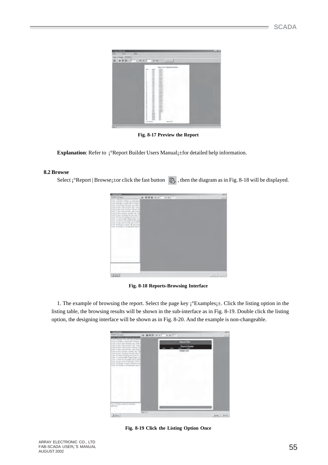| <b><i><u>Simmilation</u></i></b><br>his-<br>This.<br>$10 - 10$ |                                                                                                                                                                                                                                                                                                                                                                                                                                                                                                                                                                                                                                                                                                                                                                                                                                                                                                                                                                                                                                                                                                                                                                                                                                                                                         | Eleter |
|----------------------------------------------------------------|-----------------------------------------------------------------------------------------------------------------------------------------------------------------------------------------------------------------------------------------------------------------------------------------------------------------------------------------------------------------------------------------------------------------------------------------------------------------------------------------------------------------------------------------------------------------------------------------------------------------------------------------------------------------------------------------------------------------------------------------------------------------------------------------------------------------------------------------------------------------------------------------------------------------------------------------------------------------------------------------------------------------------------------------------------------------------------------------------------------------------------------------------------------------------------------------------------------------------------------------------------------------------------------------|--------|
| Das   Segal Terme                                              |                                                                                                                                                                                                                                                                                                                                                                                                                                                                                                                                                                                                                                                                                                                                                                                                                                                                                                                                                                                                                                                                                                                                                                                                                                                                                         |        |
| .                                                              | $16 - 6$<br>$F$ H                                                                                                                                                                                                                                                                                                                                                                                                                                                                                                                                                                                                                                                                                                                                                                                                                                                                                                                                                                                                                                                                                                                                                                                                                                                                       |        |
|                                                                |                                                                                                                                                                                                                                                                                                                                                                                                                                                                                                                                                                                                                                                                                                                                                                                                                                                                                                                                                                                                                                                                                                                                                                                                                                                                                         |        |
|                                                                | Measured Now Unigenistical and California<br><b>PLAIN</b><br>÷<br>100<br>turn<br>10444, 7<br>-<br>٠<br>sales.<br>Geo.<br>man.<br>Case Ci<br>$\frac{1}{2}$<br>LIPSA.1<br><b>LEE</b><br>74284.7<br>٠<br><b>SHEET</b><br><b>Hart</b><br><b>Hart</b><br>$-$<br>SIPEL!<br>$-0.064$<br><b>Dalla</b> , I<br>t,<br>office.<br>Date (<br>÷<br>news:<br>(large)<br>÷<br><b>CONTROL</b><br>SHIPA A<br>,,,,,,,,<br><b>TANK</b><br><b>LIENA</b><br>into:<br>LANK A<br><b>Smith</b><br>$\frac{1}{2} \left( \frac{1}{2} \right) \left( \frac{1}{2} \right) \left( \frac{1}{2} \right)$<br>盅<br><b>GWALL</b><br>$\frac{1}{2}$<br><b>Large CA</b><br>÷<br>100443<br>man.<br>Lives, J.<br>ï<br>$-0.044$<br>Listes, J.<br>ï<br>$\overline{a}$<br>trialia. I<br>*****<br>Dealer of<br><b>Hotel</b><br>Cows, J<br>$\frac{1}{2}$<br>$-0.01$<br>Limit.)<br>$\frac{1}{2}$<br><b>Links</b> , I<br><b>Address</b><br>Dates.)<br>ŧ<br>$\rightarrow$<br>CHIEF, I<br>TOPS:<br>SIPER-F<br><b>LEG</b><br><b>LUTE 1</b><br>t<br>Canada, J.<br>man.<br>Caret, c<br><b>Hart</b><br><b>HOME</b><br>Limit.)<br>÷<br><br>paint.<br><b>SALE</b><br><b>John</b><br><b>HALL</b><br><b>built</b><br><b>Hart</b><br><b>SET</b><br>hate<br><b>SATT</b><br>z,<br><b>Sale</b><br><b>PAGE</b><br>a-Fri-Alived<br><b>Days Indigent</b> |        |

**Fig. 8-17 Preview the Report**

**Explanation**: Refer to  $\int$ <sup>°</sup>Report Builder Users Manual<sub>i</sub>±for detailed help information.

### **8.2 Browse**

Select  $\mathbf{i}^\circ$ Report | Browse $\mathbf{j}$ ±or click the fast button  $\mathbb{R}$ , then the diagram as in Fig. 8-18 will be displayed.

| <b><i><i><u>REGISTER</u></i></i></b>                                                                                                                                                                                                                                                                                                                                                                                                                                                                                                                                                                                   | 1.001  |
|------------------------------------------------------------------------------------------------------------------------------------------------------------------------------------------------------------------------------------------------------------------------------------------------------------------------------------------------------------------------------------------------------------------------------------------------------------------------------------------------------------------------------------------------------------------------------------------------------------------------|--------|
| <b>Stage: Ewg.</b> ]<br><b>四回座 H +   + H   +</b><br><b>CONTRACTOR</b>                                                                                                                                                                                                                                                                                                                                                                                                                                                                                                                                                  | $\sim$ |
| Care: 1708/05/29 Higher for Focortero C<br>Calif. 3 Canaghi in fer pler rocch france?<br>Carus & Design on trains indicated board of<br>Lase 41 byls (ppry/luncherung Indent)<br>ala S User Calc Anches Jaz Tyte-<br>THE RT-BAL-CASE RATEDAY EDG for CBT<br>Data 7 Lions Cats Kenden, egy (Gen)<br>Two ELWY Grown ruled to Ltd.<br>and it uses Grouping feature and Gr<br>Taxel W.1444-15 Graphing and State Taxel<br>Dear 11 Lives In age Caput Place of<br>laus 12 Bort to ten field! TP10, ME<br>are til neigen af feldt als Period<br>Test Mitters/Listend HP University<br>Carol 31 Dansary systems (used import) |        |
| <b>Microsoft Committee</b>                                                                                                                                                                                                                                                                                                                                                                                                                                                                                                                                                                                             |        |
|                                                                                                                                                                                                                                                                                                                                                                                                                                                                                                                                                                                                                        |        |
|                                                                                                                                                                                                                                                                                                                                                                                                                                                                                                                                                                                                                        |        |
|                                                                                                                                                                                                                                                                                                                                                                                                                                                                                                                                                                                                                        |        |
|                                                                                                                                                                                                                                                                                                                                                                                                                                                                                                                                                                                                                        |        |
|                                                                                                                                                                                                                                                                                                                                                                                                                                                                                                                                                                                                                        |        |
|                                                                                                                                                                                                                                                                                                                                                                                                                                                                                                                                                                                                                        |        |
|                                                                                                                                                                                                                                                                                                                                                                                                                                                                                                                                                                                                                        |        |
|                                                                                                                                                                                                                                                                                                                                                                                                                                                                                                                                                                                                                        |        |
|                                                                                                                                                                                                                                                                                                                                                                                                                                                                                                                                                                                                                        |        |
|                                                                                                                                                                                                                                                                                                                                                                                                                                                                                                                                                                                                                        |        |
| (Dilet)                                                                                                                                                                                                                                                                                                                                                                                                                                                                                                                                                                                                                |        |

**Fig. 8-18 Reports-Browsing Interface**

1. The example of browsing the report. Select the page key ¡°Examples¡±. Click the listing option in the listing table, the browsing results will be shown in the sub-interface as in Fig. 8-19. Double click the listing option, the designing interface will be shown as in Fig. 8-20. And the example is non-changeable.

| ---<br><b>Godin Evid</b>                                                                                                                                                                                                                                                                                                                                                                                                                                                                                                                                                                                                                           | ■图图 ロステ コーロテト! |                                                          | 1.001   |
|----------------------------------------------------------------------------------------------------------------------------------------------------------------------------------------------------------------------------------------------------------------------------------------------------------------------------------------------------------------------------------------------------------------------------------------------------------------------------------------------------------------------------------------------------------------------------------------------------------------------------------------------------|----------------|----------------------------------------------------------|---------|
| <b><i>INCOTE</i></b><br>Care 3 Cange in 67 per close 6 Tarriet<br>Canal 3 Design as expedited a different of<br>Lear 41/64's carry-function, etg. Initiati<br>are 3 User Cell McDati Jac Tyter<br>THE RTAGE CAS full this strictly call<br>Case 7 Llore Cats Knicken and Starts<br>Cleve 91/601 Großen nationer als Eliz<br>Selvi & Upon Grouping free militure and<br>Taxel W.Ohio Christopher Burel Taxel<br>Court Til Anna Franger Channi (Flaure alf)<br>less II had to tracket DESCAME<br>are 12,541 old of first Jab Porte 5<br>Twill TRITINGY/Julianit will universities<br>Carol 31 Davidy scotting brand injured<br>The land can be a set |                | <b>Report The</b><br><b>Report Hospier</b><br>Detail und |         |
| ling Limato's said hi at<br><b>TOUR ART START</b>                                                                                                                                                                                                                                                                                                                                                                                                                                                                                                                                                                                                  |                |                                                          |         |
| 五田中                                                                                                                                                                                                                                                                                                                                                                                                                                                                                                                                                                                                                                                | Feat Lat 1     |                                                          | $2 - 4$ |

**Fig. 8-19 Click the Listing Option Once**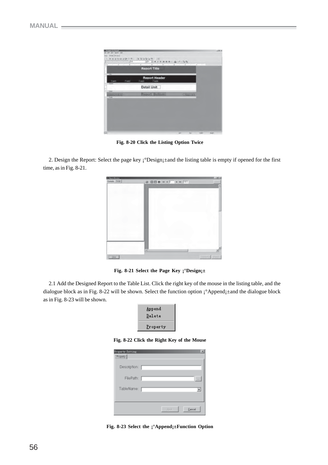|                 | Report Title                         |                                 |  |
|-----------------|--------------------------------------|---------------------------------|--|
| Fett<br>Field   | <b>Report Header</b><br>Field: Field |                                 |  |
| <b>Seattle</b>  | Detail Unit                          |                                 |  |
| Good Every Edit | <b>Report Bulloni</b>                | $T_{\rm 200}$ and $T_{\rm 200}$ |  |
|                 |                                      |                                 |  |
|                 |                                      |                                 |  |

**Fig. 8-20 Click the Listing Option Twice**

2. Design the Report: Select the page key ¡°Design¡±and the listing table is empty if opened for the first time, as in Fig. 8-21.



**Fig. 8-21 Select the Page Key ¡°Design¡±**

2.1 Add the Designed Report to the Table List. Click the right key of the mouse in the listing table, and the dialogue block as in Fig. 8-22 will be shown. Select the function option ¡°Append¡±and the dialogue block as in Fig. 8-23 will be shown.

| Append<br>Delete |  |
|------------------|--|
| Property         |  |

**Fig. 8-22 Click the Right Key of the Mouse**

| Property Setting<br>Property |            | $\infty$ |
|------------------------------|------------|----------|
| Description:                 |            |          |
| FilePath:                    |            | $-1$     |
| TableName:                   |            |          |
|                              |            |          |
|                              | <b>Sub</b> | Earnoal  |

**Fig. 8-23 Select the ¡°Append¡±Function Option**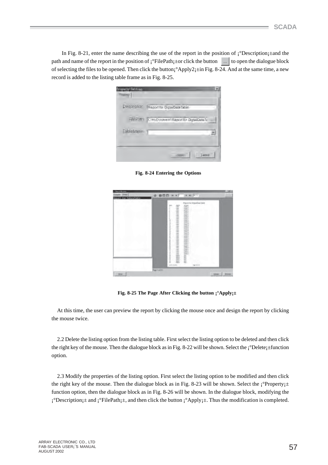In Fig. 8-21, enter the name describing the use of the report in the position of  $\mathrm{i}^\circ$ Description $\mathrm{i}^\circ$ =and the path and name of the report in the position of  $\mathbf{i}^{\circ}$ FilePath $\mathbf{i}$ +or click the button  $\mathbf{t}$  to open the dialogue block of selecting the files to be opened. Then click the button¡°Apply2¡±in Fig. 8-24. And at the same time, a new record is added to the listing table frame as in Fig. 8-25.

| Description       | Report for Digital Data Table                 |
|-------------------|-----------------------------------------------|
|                   | FilePath CMVDoonen/Report for Digital Data Tu |
| <b>TableManie</b> |                                               |

**Fig. 8-24 Entering the Options**

| et te Voorbile.<br>$\sim$ | $+ + + + +$<br>■四四 Ⅱ +<br>a                                                                                                                                                                                                                                                                                                                                                                                                                                                                                                                                                                                                                                                                                                                                                                                                                                                                                                                                                                                                                                                            |  |
|---------------------------|----------------------------------------------------------------------------------------------------------------------------------------------------------------------------------------------------------------------------------------------------------------------------------------------------------------------------------------------------------------------------------------------------------------------------------------------------------------------------------------------------------------------------------------------------------------------------------------------------------------------------------------------------------------------------------------------------------------------------------------------------------------------------------------------------------------------------------------------------------------------------------------------------------------------------------------------------------------------------------------------------------------------------------------------------------------------------------------|--|
|                           | Import for Distribution Sales<br>N/AH<br>to:<br><b>SALE</b><br>rent.)<br>$-$<br>ä<br><b>CAMEL</b><br><b>CARDS</b><br>٠<br>m<br><b>UPROJ</b><br><b>Great Li</b><br>------<br>$\frac{1}{2}$<br><b>Select</b><br><b>SEE</b><br><b>UNITED</b><br>$\frac{1}{2}$<br><b>CHARLES</b><br><b>Side</b><br>m<br>$\frac{1}{2}$<br>Lender, L.<br>$-0.1$<br>$\frac{1}{2}$<br><b>SIG</b><br><b>SEC</b><br><b>HOSE</b><br>$\rightarrow$<br><b>SPACE</b><br>$\overline{\phantom{a}}$<br>caster.<br>-<br><b>CONTRACTOR</b><br>×<br>$\frac{1}{2}$<br>cores.)<br>-<br>Caract J<br>$-144$<br><b>Land Co</b><br>Ξ<br><b>See Li</b><br><b>COLLECT</b><br>ü<br><b>ISRA</b><br>-<br>1111111111<br>皿<br>型<br><b>ISS</b><br><b>MAGES</b><br>泄<br>painting, it<br>Ë<br><b>SERVICE</b><br><b>STARTLE</b><br><b>Country of</b><br>Ī<br>Ë<br><b>SHO</b><br><b>COMPANY</b><br><b>Harry A</b><br>Ī<br>$\frac{1}{2}$<br>$-0.00000$<br>$\overline{\phantom{a}}$<br><b>CAMERA</b><br>w<br><b>Contract</b><br>I<br>100.5<br><b>SEC</b><br>$rac{1}{2}$<br>Ī<br>man.<br><b>Lake a</b><br>里<br>m<br>w<br>×<br>pot name<br>AA mi |  |
|                           | Page 1 of PT<br>Diego   Divers                                                                                                                                                                                                                                                                                                                                                                                                                                                                                                                                                                                                                                                                                                                                                                                                                                                                                                                                                                                                                                                         |  |

 **Fig. 8-25 The Page After Clicking the button ¡°Apply¡±**

At this time, the user can preview the report by clicking the mouse once and design the report by clicking the mouse twice.

2.2 Delete the listing option from the listing table. First select the listing option to be deleted and then click the right key of the mouse. Then the dialogue block as in Fig. 8-22 will be shown. Select the  $\frac{1}{2}$ Pelete $\frac{1}{2}$  function option.

2.3 Modify the properties of the listing option. First select the listing option to be modified and then click the right key of the mouse. Then the dialogue block as in Fig. 8-23 will be shown. Select the  $\mathbf{i}^{\circ}$ Property $\mathbf{i}$ ± function option, then the dialogue block as in Fig. 8-26 will be shown. In the dialogue block, modifying the  $\mathbf{i}^{\circ}$ Description $\mathbf{i} \pm$  and  $\mathbf{j}^{\circ}$ FilePath $\mathbf{i} \pm$ , and then click the button  $\mathbf{i}^{\circ}$ Apply $\mathbf{i} \pm$ . Thus the modification is completed.